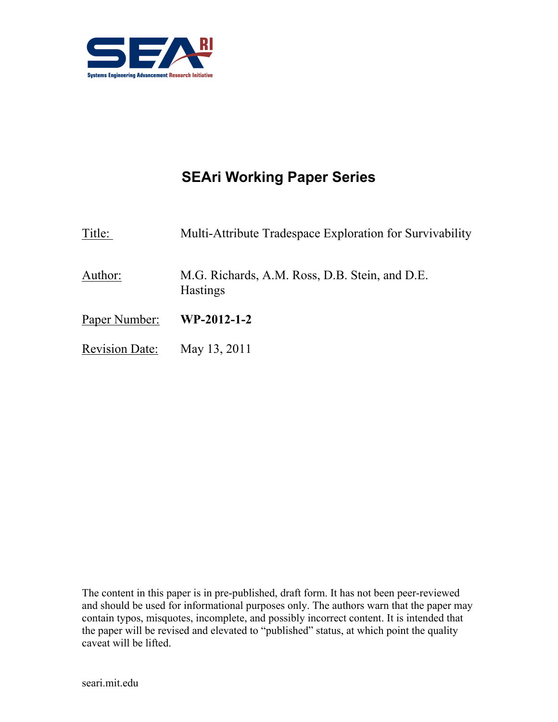

# **SEAri Working Paper Series**

| Title:                | Multi-Attribute Tradespace Exploration for Survivability          |
|-----------------------|-------------------------------------------------------------------|
| Author:               | M.G. Richards, A.M. Ross, D.B. Stein, and D.E.<br><b>Hastings</b> |
| Paper Number:         | $WP-2012-1-2$                                                     |
| <b>Revision Date:</b> | May 13, 2011                                                      |

The content in this paper is in pre-published, draft form. It has not been peer-reviewed and should be used for informational purposes only. The authors warn that the paper may contain typos, misquotes, incomplete, and possibly incorrect content. It is intended that the paper will be revised and elevated to "published" status, at which point the quality caveat will be lifted.

seari.mit.edu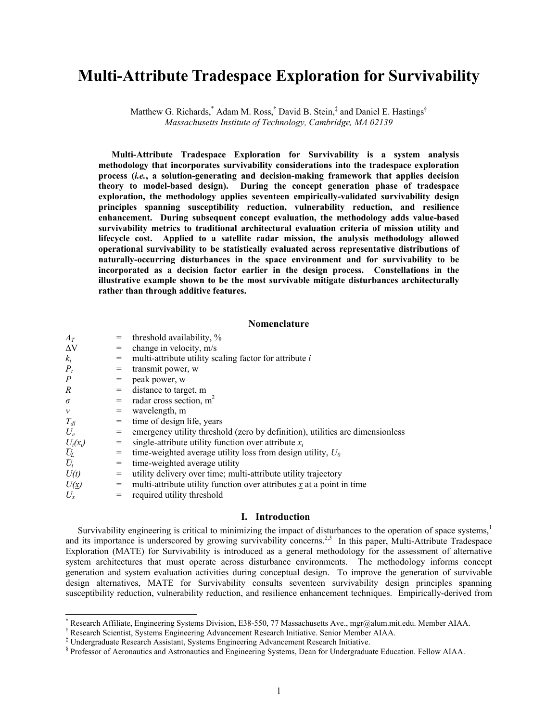# **Multi-Attribute Tradespace Exploration for Survivability**

Matthew G. Richards, \* Adam M. Ross, † David B. Stein, ‡ and Daniel E. Hastings<sup>§</sup> *Massachusetts Institute of Technology, Cambridge, MA 02139* 

**Multi-Attribute Tradespace Exploration for Survivability is a system analysis methodology that incorporates survivability considerations into the tradespace exploration process (***i.e.***, a solution-generating and decision-making framework that applies decision theory to model-based design). During the concept generation phase of tradespace exploration, the methodology applies seventeen empirically-validated survivability design principles spanning susceptibility reduction, vulnerability reduction, and resilience enhancement. During subsequent concept evaluation, the methodology adds value-based survivability metrics to traditional architectural evaluation criteria of mission utility and lifecycle cost. Applied to a satellite radar mission, the analysis methodology allowed operational survivability to be statistically evaluated across representative distributions of naturally-occurring disturbances in the space environment and for survivability to be incorporated as a decision factor earlier in the design process. Constellations in the illustrative example shown to be the most survivable mitigate disturbances architecturally rather than through additive features.** 

# **Nomenclature**

| $A_T$              |     | threshold availability, %                                                     |
|--------------------|-----|-------------------------------------------------------------------------------|
| $\Delta V$         | $=$ | change in velocity, m/s                                                       |
|                    |     |                                                                               |
| $k_i$              | $=$ | multi-attribute utility scaling factor for attribute $i$                      |
| $P_t$              | $=$ | transmit power, w                                                             |
| Ρ                  | $=$ | peak power, w                                                                 |
| R                  | $=$ | distance to target, m                                                         |
| σ                  |     | $=$ radar cross section, m <sup>2</sup>                                       |
| ν                  | $=$ | wavelength, m                                                                 |
| $T_{dl}$           | $=$ | time of design life, years                                                    |
| $U_e$              | $=$ | emergency utility threshold (zero by definition), utilities are dimensionless |
| $U_i(x_i)$         | $=$ | single-attribute utility function over attribute $x_i$                        |
| $\bar{U}_{\!\!L}$  | $=$ | time-weighted average utility loss from design utility, $U_0$                 |
| $\overline{U}_t$   | $=$ | time-weighted average utility                                                 |
| U(t)               | $=$ | utility delivery over time; multi-attribute utility trajectory                |
| $U(\underline{x})$ | $=$ | multi-attribute utility function over attributes x at a point in time         |
| $U_{x}$            | $=$ | required utility threshold                                                    |

# **I. Introduction**

Survivability engineering is critical to minimizing the impact of disturbances to the operation of space systems,<sup>1</sup> and its importance is underscored by growing survivability concerns.<sup>2,3</sup> In this paper, Multi-Attribute Tradespace Exploration (MATE) for Survivability is introduced as a general methodology for the assessment of alternative system architectures that must operate across disturbance environments. The methodology informs concept generation and system evaluation activities during conceptual design. To improve the generation of survivable design alternatives, MATE for Survivability consults seventeen survivability design principles spanning susceptibility reduction, vulnerability reduction, and resilience enhancement techniques. Empirically-derived from

 $\overline{\phantom{a}}$ 

<sup>\*</sup> Research Affiliate, Engineering Systems Division, E38-550, 77 Massachusetts Ave., mgr@alum.mit.edu. Member AIAA.

<sup>†</sup> Research Scientist, Systems Engineering Advancement Research Initiative. Senior Member AIAA.

<sup>‡</sup> Undergraduate Research Assistant, Systems Engineering Advancement Research Initiative.

<sup>§</sup> Professor of Aeronautics and Astronautics and Engineering Systems, Dean for Undergraduate Education. Fellow AIAA.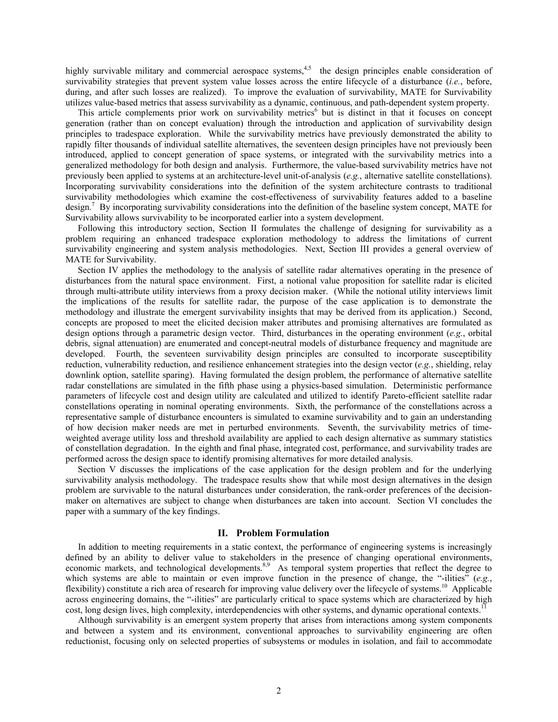highly survivable military and commercial aerospace systems,<sup>4,5</sup> the design principles enable consideration of survivability strategies that prevent system value losses across the entire lifecycle of a disturbance (*i.e.*, before, during, and after such losses are realized). To improve the evaluation of survivability, MATE for Survivability utilizes value-based metrics that assess survivability as a dynamic, continuous, and path-dependent system property.

This article complements prior work on survivability metrics<sup>6</sup> but is distinct in that it focuses on concept generation (rather than on concept evaluation) through the introduction and application of survivability design principles to tradespace exploration. While the survivability metrics have previously demonstrated the ability to rapidly filter thousands of individual satellite alternatives, the seventeen design principles have not previously been introduced, applied to concept generation of space systems, or integrated with the survivability metrics into a generalized methodology for both design and analysis. Furthermore, the value-based survivability metrics have not previously been applied to systems at an architecture-level unit-of-analysis (*e.g.*, alternative satellite constellations). Incorporating survivability considerations into the definition of the system architecture contrasts to traditional survivability methodologies which examine the cost-effectiveness of survivability features added to a baseline design.<sup>7</sup> By incorporating survivability considerations into the definition of the baseline system concept, MATE for Survivability allows survivability to be incorporated earlier into a system development.

Following this introductory section, Section II formulates the challenge of designing for survivability as a problem requiring an enhanced tradespace exploration methodology to address the limitations of current survivability engineering and system analysis methodologies. Next, Section III provides a general overview of MATE for Survivability.

Section IV applies the methodology to the analysis of satellite radar alternatives operating in the presence of disturbances from the natural space environment. First, a notional value proposition for satellite radar is elicited through multi-attribute utility interviews from a proxy decision maker. (While the notional utility interviews limit the implications of the results for satellite radar, the purpose of the case application is to demonstrate the methodology and illustrate the emergent survivability insights that may be derived from its application.) Second, concepts are proposed to meet the elicited decision maker attributes and promising alternatives are formulated as design options through a parametric design vector. Third, disturbances in the operating environment (*e.g.*, orbital debris, signal attenuation) are enumerated and concept-neutral models of disturbance frequency and magnitude are developed. Fourth, the seventeen survivability design principles are consulted to incorporate susceptibility reduction, vulnerability reduction, and resilience enhancement strategies into the design vector (*e.g.*, shielding, relay downlink option, satellite sparing). Having formulated the design problem, the performance of alternative satellite radar constellations are simulated in the fifth phase using a physics-based simulation. Deterministic performance parameters of lifecycle cost and design utility are calculated and utilized to identify Pareto-efficient satellite radar constellations operating in nominal operating environments. Sixth, the performance of the constellations across a representative sample of disturbance encounters is simulated to examine survivability and to gain an understanding of how decision maker needs are met in perturbed environments. Seventh, the survivability metrics of timeweighted average utility loss and threshold availability are applied to each design alternative as summary statistics of constellation degradation. In the eighth and final phase, integrated cost, performance, and survivability trades are performed across the design space to identify promising alternatives for more detailed analysis.

Section V discusses the implications of the case application for the design problem and for the underlying survivability analysis methodology. The tradespace results show that while most design alternatives in the design problem are survivable to the natural disturbances under consideration, the rank-order preferences of the decisionmaker on alternatives are subject to change when disturbances are taken into account. Section VI concludes the paper with a summary of the key findings.

# **II. Problem Formulation**

In addition to meeting requirements in a static context, the performance of engineering systems is increasingly defined by an ability to deliver value to stakeholders in the presence of changing operational environments, economic markets, and technological developments.<sup>8,9</sup> As temporal system properties that reflect the degree to which systems are able to maintain or even improve function in the presence of change, the "-ilities" (*e.g.*, flexibility) constitute a rich area of research for improving value delivery over the lifecycle of systems.<sup>10</sup> Applicable across engineering domains, the "-ilities" are particularly critical to space systems which are characterized by high cost, long design lives, high complexity, interdependencies with other systems, and dynamic operational contexts.<sup>11</sup>

Although survivability is an emergent system property that arises from interactions among system components and between a system and its environment, conventional approaches to survivability engineering are often reductionist, focusing only on selected properties of subsystems or modules in isolation, and fail to accommodate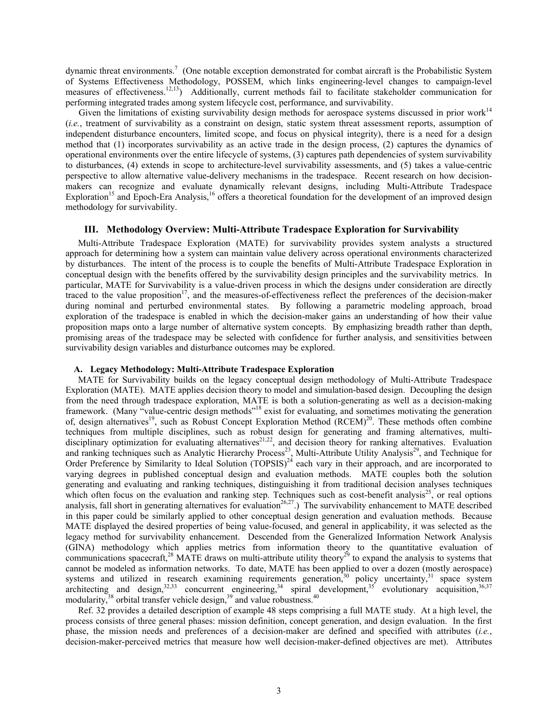dynamic threat environments.<sup>7</sup> (One notable exception demonstrated for combat aircraft is the Probabilistic System of Systems Effectiveness Methodology, POSSEM, which links engineering-level changes to campaign-level measures of effectiveness.<sup>12,13</sup>) Additionally, current methods fail to facilitate stakeholder communication for performing integrated trades among system lifecycle cost, performance, and survivability.

Given the limitations of existing survivability design methods for aerospace systems discussed in prior work<sup>14</sup> (*i.e.*, treatment of survivability as a constraint on design, static system threat assessment reports, assumption of independent disturbance encounters, limited scope, and focus on physical integrity), there is a need for a design method that (1) incorporates survivability as an active trade in the design process, (2) captures the dynamics of operational environments over the entire lifecycle of systems, (3) captures path dependencies of system survivability to disturbances, (4) extends in scope to architecture-level survivability assessments, and (5) takes a value-centric perspective to allow alternative value-delivery mechanisms in the tradespace. Recent research on how decisionmakers can recognize and evaluate dynamically relevant designs, including Multi-Attribute Tradespace  $\text{Exploration}^{15}$  and Epoch-Era Analysis,<sup>16</sup> offers a theoretical foundation for the development of an improved design methodology for survivability.

# **III. Methodology Overview: Multi-Attribute Tradespace Exploration for Survivability**

Multi-Attribute Tradespace Exploration (MATE) for survivability provides system analysts a structured approach for determining how a system can maintain value delivery across operational environments characterized by disturbances. The intent of the process is to couple the benefits of Multi-Attribute Tradespace Exploration in conceptual design with the benefits offered by the survivability design principles and the survivability metrics. In particular, MATE for Survivability is a value-driven process in which the designs under consideration are directly traced to the value proposition<sup>17</sup>, and the measures-of-effectiveness reflect the preferences of the decision-maker during nominal and perturbed environmental states. By following a parametric modeling approach, broad exploration of the tradespace is enabled in which the decision-maker gains an understanding of how their value proposition maps onto a large number of alternative system concepts. By emphasizing breadth rather than depth, promising areas of the tradespace may be selected with confidence for further analysis, and sensitivities between survivability design variables and disturbance outcomes may be explored.

# **A. Legacy Methodology: Multi-Attribute Tradespace Exploration**

MATE for Survivability builds on the legacy conceptual design methodology of Multi-Attribute Tradespace Exploration (MATE). MATE applies decision theory to model and simulation-based design. Decoupling the design from the need through tradespace exploration, MATE is both a solution-generating as well as a decision-making framework. (Many "value-centric design methods"<sup>18</sup> exist for evaluating, and sometimes motivating the generation of, design alternatives<sup>19</sup>, such as Robust Concept Exploration Method (RCEM)<sup>20</sup>. These methods often combine techniques from multiple disciplines, such as robust design for generating and framing alternatives, multidisciplinary optimization for evaluating alternatives<sup>21,22</sup>, and decision theory for ranking alternatives. Evaluation and ranking techniques such as Analytic Hierarchy Process<sup>23</sup>, Multi-Attribute Utility Analysis<sup>29</sup>, and Technique for Order Preference by Similarity to Ideal Solution  $(TOPSIS)^{24}$  each vary in their approach, and are incorporated to varying degrees in published conceptual design and evaluation methods. MATE couples both the solution generating and evaluating and ranking techniques, distinguishing it from traditional decision analyses techniques which often focus on the evaluation and ranking step. Techniques such as cost-benefit analysis<sup>25</sup>, or real options analysis, fall short in generating alternatives for evaluation<sup>26,27</sup>.) The survivability enhancement to MATE described in this paper could be similarly applied to other conceptual design generation and evaluation methods. Because MATE displayed the desired properties of being value-focused, and general in applicability, it was selected as the legacy method for survivability enhancement. Descended from the Generalized Information Network Analysis (GINA) methodology which applies metrics from information theory to the quantitative evaluation of communications spacecraft,<sup>28</sup> MATE draws on multi-attribute utility theory<sup>29</sup> to expand the analysis to systems that cannot be modeled as information networks. To date, MATE has been applied to over a dozen (mostly aerospace) systems and utilized in research examining requirements generation,  $30$  policy uncertainty,  $31$  space system architecting and design,  $32,33$  concurrent engineering,  $34$  spiral development,  $35$  evolutionary acquisition,  $36,37$ modularity,<sup>38</sup> orbital transfer vehicle design,<sup>39</sup> and value robustness.<sup>40</sup>

Ref. 32 provides a detailed description of example 48 steps comprising a full MATE study. At a high level, the process consists of three general phases: mission definition, concept generation, and design evaluation. In the first phase, the mission needs and preferences of a decision-maker are defined and specified with attributes (*i.e.*, decision-maker-perceived metrics that measure how well decision-maker-defined objectives are met). Attributes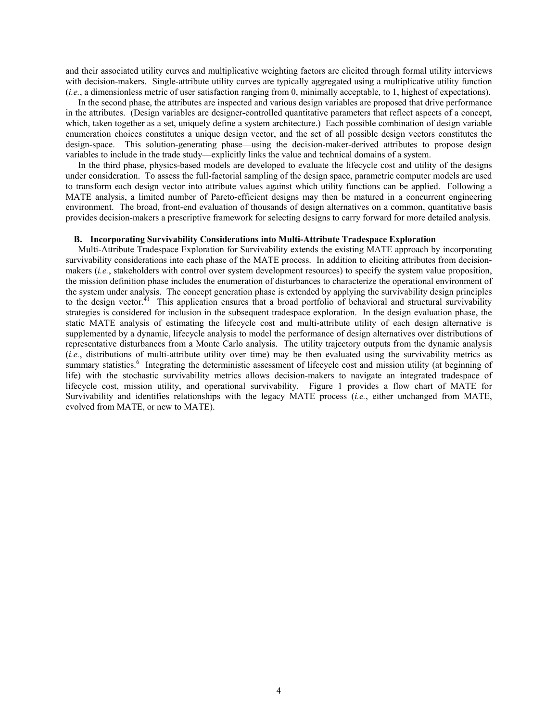and their associated utility curves and multiplicative weighting factors are elicited through formal utility interviews with decision-makers. Single-attribute utility curves are typically aggregated using a multiplicative utility function (*i.e.*, a dimensionless metric of user satisfaction ranging from 0, minimally acceptable, to 1, highest of expectations).

In the second phase, the attributes are inspected and various design variables are proposed that drive performance in the attributes. (Design variables are designer-controlled quantitative parameters that reflect aspects of a concept, which, taken together as a set, uniquely define a system architecture.) Each possible combination of design variable enumeration choices constitutes a unique design vector, and the set of all possible design vectors constitutes the design-space. This solution-generating phase—using the decision-maker-derived attributes to propose design variables to include in the trade study—explicitly links the value and technical domains of a system.

In the third phase, physics-based models are developed to evaluate the lifecycle cost and utility of the designs under consideration. To assess the full-factorial sampling of the design space, parametric computer models are used to transform each design vector into attribute values against which utility functions can be applied. Following a MATE analysis, a limited number of Pareto-efficient designs may then be matured in a concurrent engineering environment. The broad, front-end evaluation of thousands of design alternatives on a common, quantitative basis provides decision-makers a prescriptive framework for selecting designs to carry forward for more detailed analysis.

#### **B. Incorporating Survivability Considerations into Multi-Attribute Tradespace Exploration**

Multi-Attribute Tradespace Exploration for Survivability extends the existing MATE approach by incorporating survivability considerations into each phase of the MATE process. In addition to eliciting attributes from decisionmakers (*i.e.*, stakeholders with control over system development resources) to specify the system value proposition, the mission definition phase includes the enumeration of disturbances to characterize the operational environment of the system under analysis. The concept generation phase is extended by applying the survivability design principles to the design vector.<sup>41</sup> This application ensures that a broad portfolio of behavioral and structural survivability strategies is considered for inclusion in the subsequent tradespace exploration. In the design evaluation phase, the static MATE analysis of estimating the lifecycle cost and multi-attribute utility of each design alternative is supplemented by a dynamic, lifecycle analysis to model the performance of design alternatives over distributions of representative disturbances from a Monte Carlo analysis. The utility trajectory outputs from the dynamic analysis (*i.e.*, distributions of multi-attribute utility over time) may be then evaluated using the survivability metrics as summary statistics.<sup>6</sup> Integrating the deterministic assessment of lifecycle cost and mission utility (at beginning of life) with the stochastic survivability metrics allows decision-makers to navigate an integrated tradespace of lifecycle cost, mission utility, and operational survivability. Figure 1 provides a flow chart of MATE for Survivability and identifies relationships with the legacy MATE process (*i.e.*, either unchanged from MATE, evolved from MATE, or new to MATE).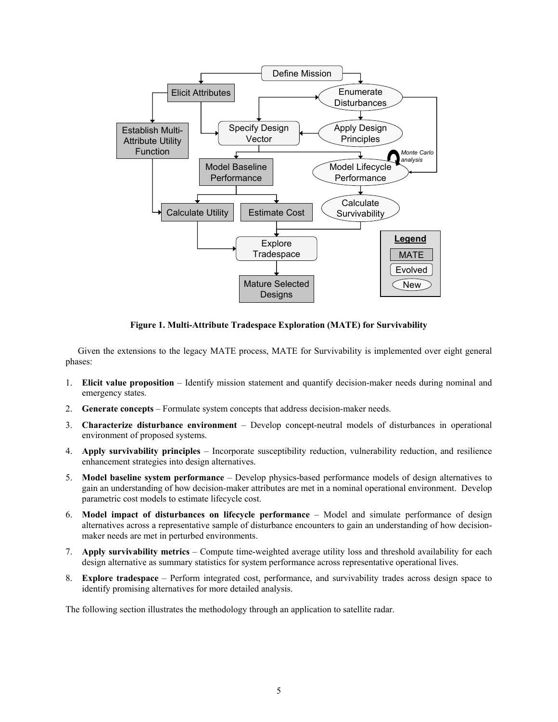

**Figure 1. Multi-Attribute Tradespace Exploration (MATE) for Survivability** 

Given the extensions to the legacy MATE process, MATE for Survivability is implemented over eight general phases:

- 1. **Elicit value proposition** Identify mission statement and quantify decision-maker needs during nominal and emergency states.
- 2. **Generate concepts** Formulate system concepts that address decision-maker needs.
- 3. **Characterize disturbance environment** Develop concept-neutral models of disturbances in operational environment of proposed systems.
- 4. **Apply survivability principles** Incorporate susceptibility reduction, vulnerability reduction, and resilience enhancement strategies into design alternatives.
- 5. **Model baseline system performance** Develop physics-based performance models of design alternatives to gain an understanding of how decision-maker attributes are met in a nominal operational environment. Develop parametric cost models to estimate lifecycle cost.
- 6. **Model impact of disturbances on lifecycle performance** Model and simulate performance of design alternatives across a representative sample of disturbance encounters to gain an understanding of how decisionmaker needs are met in perturbed environments.
- 7. **Apply survivability metrics** Compute time-weighted average utility loss and threshold availability for each design alternative as summary statistics for system performance across representative operational lives.
- 8. **Explore tradespace** Perform integrated cost, performance, and survivability trades across design space to identify promising alternatives for more detailed analysis.

The following section illustrates the methodology through an application to satellite radar.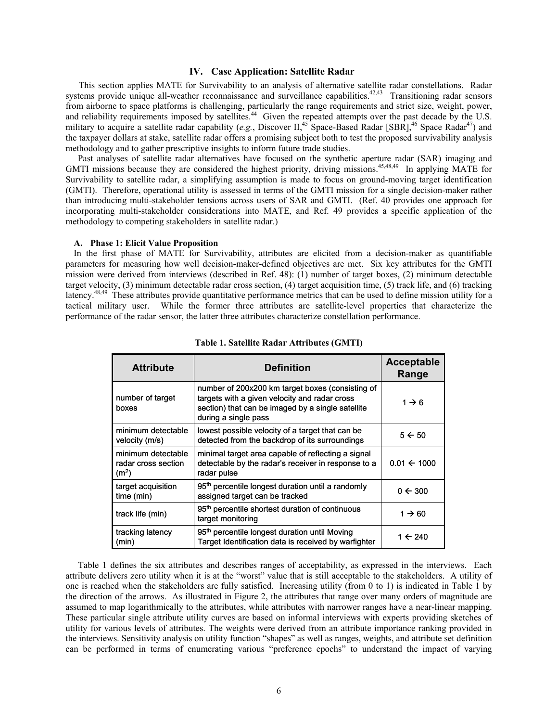# **IV. Case Application: Satellite Radar**

This section applies MATE for Survivability to an analysis of alternative satellite radar constellations. Radar systems provide unique all-weather reconnaissance and surveillance capabilities.<sup>42,43</sup> Transitioning radar sensors from airborne to space platforms is challenging, particularly the range requirements and strict size, weight, power, and reliability requirements imposed by satellites.<sup>44</sup> Given the repeated attempts over the past decade by the U.S. military to acquire a satellite radar capability (*e.g.*, Discover II,<sup>45</sup> Space-Based Radar [SBR],<sup>46</sup> Space Radar<sup>47</sup>) and the taxpayer dollars at stake, satellite radar offers a promising subject both to test the proposed survivability analysis methodology and to gather prescriptive insights to inform future trade studies.

Past analyses of satellite radar alternatives have focused on the synthetic aperture radar (SAR) imaging and GMTI missions because they are considered the highest priority, driving missions.<sup>45,48,49</sup> In applying MATE for Survivability to satellite radar, a simplifying assumption is made to focus on ground-moving target identification (GMTI). Therefore, operational utility is assessed in terms of the GMTI mission for a single decision-maker rather than introducing multi-stakeholder tensions across users of SAR and GMTI. (Ref. 40 provides one approach for incorporating multi-stakeholder considerations into MATE, and Ref. 49 provides a specific application of the methodology to competing stakeholders in satellite radar.)

#### **A. Phase 1: Elicit Value Proposition**

In the first phase of MATE for Survivability, attributes are elicited from a decision-maker as quantifiable parameters for measuring how well decision-maker-defined objectives are met. Six key attributes for the GMTI mission were derived from interviews (described in Ref. 48): (1) number of target boxes, (2) minimum detectable target velocity, (3) minimum detectable radar cross section, (4) target acquisition time, (5) track life, and (6) tracking latency.<sup>48,49</sup> These attributes provide quantitative performance metrics that can be used to define mission utility for a tactical military user. While the former three attributes are satellite-level properties that characterize the performance of the radar sensor, the latter three attributes characterize constellation performance.

| <b>Attribute</b>                                               | <b>Definition</b>                                                                                                                                                              | <b>Acceptable</b><br>Range |
|----------------------------------------------------------------|--------------------------------------------------------------------------------------------------------------------------------------------------------------------------------|----------------------------|
| number of target<br>boxes                                      | number of 200x200 km target boxes (consisting of<br>targets with a given velocity and radar cross<br>section) that can be imaged by a single satellite<br>during a single pass | $1 \rightarrow 6$          |
| minimum detectable<br>velocity (m/s)                           | lowest possible velocity of a target that can be<br>detected from the backdrop of its surroundings                                                                             | $5 \leftarrow 50$          |
| minimum detectable<br>radar cross section<br>(m <sup>2</sup> ) | minimal target area capable of reflecting a signal<br>detectable by the radar's receiver in response to a<br>radar pulse                                                       | $0.01 \div 1000$           |
| target acquisition<br>time (min)                               | 95 <sup>th</sup> percentile longest duration until a randomly<br>assigned target can be tracked                                                                                | $0 \leftarrow 300$         |
| track life (min)                                               | 95 <sup>th</sup> percentile shortest duration of continuous<br>target monitoring                                                                                               | $1 \rightarrow 60$         |
| tracking latency<br>(min)                                      | 95 <sup>th</sup> percentile longest duration until Moving<br>Target Identification data is received by warfighter                                                              | 1 ← 240                    |

**Table 1. Satellite Radar Attributes (GMTI)** 

Table 1 defines the six attributes and describes ranges of acceptability, as expressed in the interviews. Each attribute delivers zero utility when it is at the "worst" value that is still acceptable to the stakeholders. A utility of one is reached when the stakeholders are fully satisfied. Increasing utility (from 0 to 1) is indicated in Table 1 by the direction of the arrows. As illustrated in Figure 2, the attributes that range over many orders of magnitude are assumed to map logarithmically to the attributes, while attributes with narrower ranges have a near-linear mapping. These particular single attribute utility curves are based on informal interviews with experts providing sketches of utility for various levels of attributes. The weights were derived from an attribute importance ranking provided in the interviews. Sensitivity analysis on utility function "shapes" as well as ranges, weights, and attribute set definition can be performed in terms of enumerating various "preference epochs" to understand the impact of varying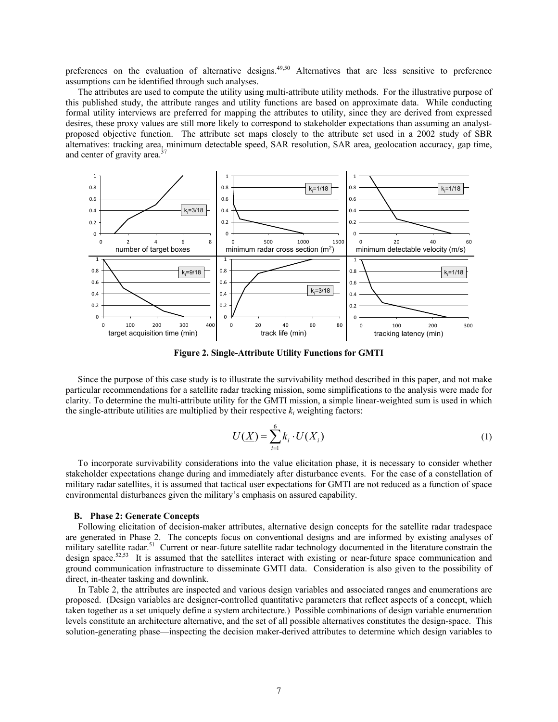preferences on the evaluation of alternative designs.<sup>49,50</sup> Alternatives that are less sensitive to preference assumptions can be identified through such analyses.

The attributes are used to compute the utility using multi-attribute utility methods. For the illustrative purpose of this published study, the attribute ranges and utility functions are based on approximate data. While conducting formal utility interviews are preferred for mapping the attributes to utility, since they are derived from expressed desires, these proxy values are still more likely to correspond to stakeholder expectations than assuming an analystproposed objective function. The attribute set maps closely to the attribute set used in a 2002 study of SBR alternatives: tracking area, minimum detectable speed, SAR resolution, SAR area, geolocation accuracy, gap time, and center of gravity area.<sup>3</sup>



**Figure 2. Single-Attribute Utility Functions for GMTI** 

Since the purpose of this case study is to illustrate the survivability method described in this paper, and not make particular recommendations for a satellite radar tracking mission, some simplifications to the analysis were made for clarity. To determine the multi-attribute utility for the GMTI mission, a simple linear-weighted sum is used in which the single-attribute utilities are multiplied by their respective  $k_i$  weighting factors:

$$
U(\underline{X}) = \sum_{i=1}^{6} k_i \cdot U(X_i)
$$
 (1)

To incorporate survivability considerations into the value elicitation phase, it is necessary to consider whether stakeholder expectations change during and immediately after disturbance events. For the case of a constellation of military radar satellites, it is assumed that tactical user expectations for GMTI are not reduced as a function of space environmental disturbances given the military's emphasis on assured capability.

# **B. Phase 2: Generate Concepts**

Following elicitation of decision-maker attributes, alternative design concepts for the satellite radar tradespace are generated in Phase 2. The concepts focus on conventional designs and are informed by existing analyses of military satellite radar.<sup>51</sup> Current or near-future satellite radar technology documented in the literature constrain the design space.<sup>52,53</sup> It is assumed that the satellites interact with existing or near-future space communication and ground communication infrastructure to disseminate GMTI data. Consideration is also given to the possibility of direct, in-theater tasking and downlink.

In Table 2, the attributes are inspected and various design variables and associated ranges and enumerations are proposed. (Design variables are designer-controlled quantitative parameters that reflect aspects of a concept, which taken together as a set uniquely define a system architecture.) Possible combinations of design variable enumeration levels constitute an architecture alternative, and the set of all possible alternatives constitutes the design-space. This solution-generating phase—inspecting the decision maker-derived attributes to determine which design variables to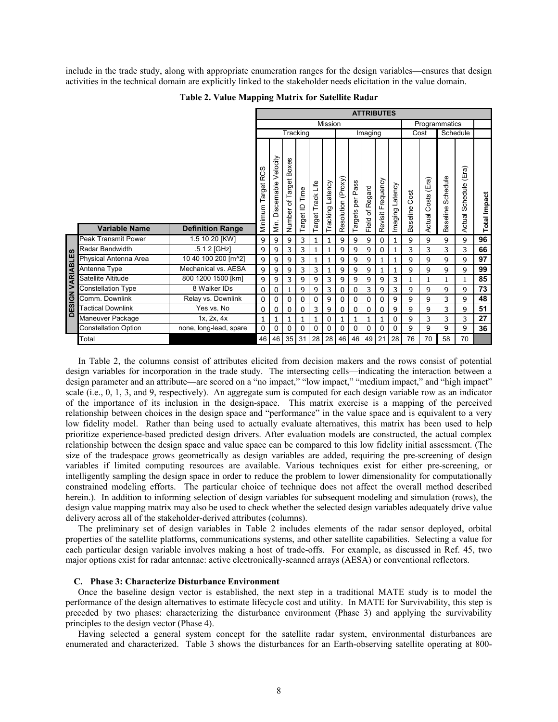include in the trade study, along with appropriate enumeration ranges for the design variables—ensures that design activities in the technical domain are explicitly linked to the stakeholder needs elicitation in the value domain.

|           |                             |                                                                            | <b>ATTRIBUTES</b>     |                         |                                  |                       |                                   |                  |                    |                     |                 |                   |                 |               |                              |                      |                       |                     |
|-----------|-----------------------------|----------------------------------------------------------------------------|-----------------------|-------------------------|----------------------------------|-----------------------|-----------------------------------|------------------|--------------------|---------------------|-----------------|-------------------|-----------------|---------------|------------------------------|----------------------|-----------------------|---------------------|
|           |                             | <b>Mission</b><br>Programmatics<br>Tracking<br>Schedule<br>Cost<br>Imaging |                       |                         |                                  |                       |                                   |                  |                    |                     |                 |                   |                 |               |                              |                      |                       |                     |
|           |                             |                                                                            |                       |                         |                                  |                       |                                   |                  |                    |                     |                 |                   |                 |               |                              |                      |                       |                     |
|           |                             |                                                                            | Target RCS<br>Minimum | Velocity<br>Discernable | <b>Boxes</b><br>Number of Target | <b>Target ID Time</b> | Track Life<br>Target <sup>-</sup> | Tracking Latency | Resolution (Proxy) | per Pass<br>Targets | Field of Regard | Revisit Frequency | Imaging Latency | Baseline Cost | (Era)<br><b>Actual Costs</b> | Schedule<br>Baseline | Actual Schedule (Era) | <b>Total Impact</b> |
|           | <b>Variable Name</b>        | <b>Definition Range</b>                                                    |                       | Min.                    |                                  |                       |                                   |                  |                    |                     |                 |                   |                 |               |                              |                      |                       |                     |
|           | <b>Peak Transmit Power</b>  | 1.5 10 20 [KW]                                                             | 9                     | 9                       | 9                                | 3                     |                                   |                  | 9                  | 9                   | 9               | 0                 |                 | 9             | 9                            | 9                    | 9                     | 96                  |
| <b>SC</b> | Radar Bandwidth             | .5 1 2 [GHz]                                                               | 9                     | 9                       | 3                                | 3                     |                                   |                  | 9                  | 9                   | 9               | 0                 |                 | 3             | 3                            | 3                    | 3                     | 66                  |
|           | Physical Antenna Area       | 10 40 100 200 [m <sup>^2</sup> ]                                           | 9                     | 9                       | 9                                | 3                     |                                   |                  | 9                  | 9                   | 9               | 1                 | 1               | 9             | 9                            | 9                    | 9                     | 97                  |
|           | Antenna Type                | Mechanical vs. AESA                                                        | 9                     | 9                       | 9                                | 3                     | 3                                 | $\mathbf{1}$     | 9                  | 9                   | 9               | $\mathbf{1}$      | 1               | 9             | 9                            | 9                    | 9                     | 99                  |
| VARIABLE  | Satellite Altitude          | 800 1200 1500 [km]                                                         | 9                     | 9                       | 3                                | 9                     | 9                                 | 3                | 9                  | 9                   | 9               | 9                 | 3               | 1             | 1                            | 1                    |                       | 85                  |
|           | Constellation Type          | 8 Walker IDs                                                               | 0                     | 0                       | 1                                | 9                     | 9                                 | 3                | 0                  | 0                   | 3               | 9                 | 3               | 9             | 9                            | 9                    | 9                     | 73                  |
| ESIGN     | Comm. Downlink              | Relay vs. Downlink                                                         | 0                     | 0                       | 0                                | 0                     | 0                                 | 9                | $\mathbf 0$        | 0                   | 0               | $\mathbf 0$       | 9               | 9             | 9                            | 3                    | 9                     | 48                  |
|           | <b>Tactical Downlink</b>    | Yes vs. No                                                                 | 0                     | 0                       | 0                                | 0                     | 3                                 | 9                | 0                  | 0                   | 0               | 0                 | 9               | 9             | 9                            | 3                    | 9                     | 51                  |
| ۵         | Maneuver Package            | 1x, 2x, 4x                                                                 | $\mathbf{1}$          |                         |                                  | 1                     |                                   | 0                | $\mathbf{1}$       |                     |                 | 1                 | 0               | 9             | 3                            | 3                    | 3                     | 27                  |
|           | <b>Constellation Option</b> | none, long-lead, spare                                                     | 0                     | 0                       | 0                                | 0                     | $\Omega$                          | 0                | 0                  | 0                   | 0               | 0                 | 0               | 9             | 9                            | 9                    | 9                     | 36                  |
|           | Total                       |                                                                            | 46                    | 46                      | 35                               | 31                    | 28                                | 28               | 46                 | 46                  | 49              | 21                | 28              | 76            | 70                           | 58                   | 70                    |                     |

#### **Table 2. Value Mapping Matrix for Satellite Radar**

In Table 2, the columns consist of attributes elicited from decision makers and the rows consist of potential design variables for incorporation in the trade study. The intersecting cells—indicating the interaction between a design parameter and an attribute—are scored on a "no impact," "low impact," "medium impact," and "high impact" scale (i.e., 0, 1, 3, and 9, respectively). An aggregate sum is computed for each design variable row as an indicator of the importance of its inclusion in the design-space. This matrix exercise is a mapping of the perceived relationship between choices in the design space and "performance" in the value space and is equivalent to a very low fidelity model. Rather than being used to actually evaluate alternatives, this matrix has been used to help prioritize experience-based predicted design drivers. After evaluation models are constructed, the actual complex relationship between the design space and value space can be compared to this low fidelity initial assessment. (The size of the tradespace grows geometrically as design variables are added, requiring the pre-screening of design variables if limited computing resources are available. Various techniques exist for either pre-screening, or intelligently sampling the design space in order to reduce the problem to lower dimensionality for computationally constrained modeling efforts. The particular choice of technique does not affect the overall method described herein.). In addition to informing selection of design variables for subsequent modeling and simulation (rows), the design value mapping matrix may also be used to check whether the selected design variables adequately drive value delivery across all of the stakeholder-derived attributes (columns).

The preliminary set of design variables in Table 2 includes elements of the radar sensor deployed, orbital properties of the satellite platforms, communications systems, and other satellite capabilities. Selecting a value for each particular design variable involves making a host of trade-offs. For example, as discussed in Ref. 45, two major options exist for radar antennae: active electronically-scanned arrays (AESA) or conventional reflectors.

# **C. Phase 3: Characterize Disturbance Environment**

Once the baseline design vector is established, the next step in a traditional MATE study is to model the performance of the design alternatives to estimate lifecycle cost and utility. In MATE for Survivability, this step is preceded by two phases: characterizing the disturbance environment (Phase 3) and applying the survivability principles to the design vector (Phase 4).

Having selected a general system concept for the satellite radar system, environmental disturbances are enumerated and characterized. Table 3 shows the disturbances for an Earth-observing satellite operating at 800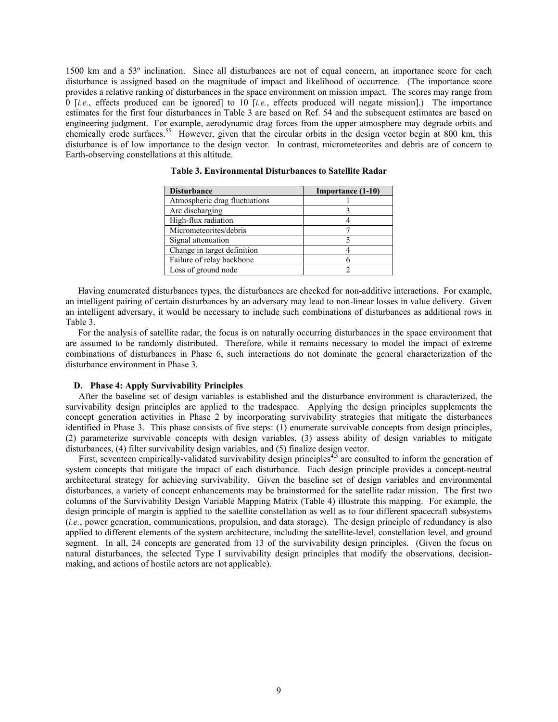1500 km and a 53º inclination. Since all disturbances are not of equal concern, an importance score for each disturbance is assigned based on the magnitude of impact and likelihood of occurrence. (The importance score provides a relative ranking of disturbances in the space environment on mission impact. The scores may range from 0 [*i.e.*, effects produced can be ignored] to 10 [*i.e.*, effects produced will negate mission].) The importance estimates for the first four disturbances in Table 3 are based on Ref. 54 and the subsequent estimates are based on engineering judgment. For example, aerodynamic drag forces from the upper atmosphere may degrade orbits and chemically erode surfaces.<sup>55</sup> However, given that the circular orbits in the design vector begin at 800 km, this disturbance is of low importance to the design vector. In contrast, micrometeorites and debris are of concern to Earth-observing constellations at this altitude.

| <b>Disturbance</b>            | Importance (1-10) |
|-------------------------------|-------------------|
| Atmospheric drag fluctuations |                   |
| Arc discharging               |                   |
| High-flux radiation           |                   |
| Micrometeorites/debris        |                   |
| Signal attenuation            |                   |
| Change in target definition   |                   |
| Failure of relay backbone     |                   |
| Loss of ground node           |                   |

**Table 3. Environmental Disturbances to Satellite Radar** 

Having enumerated disturbances types, the disturbances are checked for non-additive interactions. For example, an intelligent pairing of certain disturbances by an adversary may lead to non-linear losses in value delivery. Given an intelligent adversary, it would be necessary to include such combinations of disturbances as additional rows in Table 3.

For the analysis of satellite radar, the focus is on naturally occurring disturbances in the space environment that are assumed to be randomly distributed. Therefore, while it remains necessary to model the impact of extreme combinations of disturbances in Phase 6, such interactions do not dominate the general characterization of the disturbance environment in Phase 3.

# **D. Phase 4: Apply Survivability Principles**

After the baseline set of design variables is established and the disturbance environment is characterized, the survivability design principles are applied to the tradespace. Applying the design principles supplements the concept generation activities in Phase 2 by incorporating survivability strategies that mitigate the disturbances identified in Phase 3. This phase consists of five steps: (1) enumerate survivable concepts from design principles, (2) parameterize survivable concepts with design variables, (3) assess ability of design variables to mitigate disturbances, (4) filter survivability design variables, and (5) finalize design vector.

First, seventeen empirically-validated survivability design principles<sup>4,5</sup> are consulted to inform the generation of system concepts that mitigate the impact of each disturbance. Each design principle provides a concept-neutral architectural strategy for achieving survivability. Given the baseline set of design variables and environmental disturbances, a variety of concept enhancements may be brainstormed for the satellite radar mission. The first two columns of the Survivability Design Variable Mapping Matrix (Table 4) illustrate this mapping. For example, the design principle of margin is applied to the satellite constellation as well as to four different spacecraft subsystems (*i.e.*, power generation, communications, propulsion, and data storage). The design principle of redundancy is also applied to different elements of the system architecture, including the satellite-level, constellation level, and ground segment. In all, 24 concepts are generated from 13 of the survivability design principles. (Given the focus on natural disturbances, the selected Type I survivability design principles that modify the observations, decisionmaking, and actions of hostile actors are not applicable).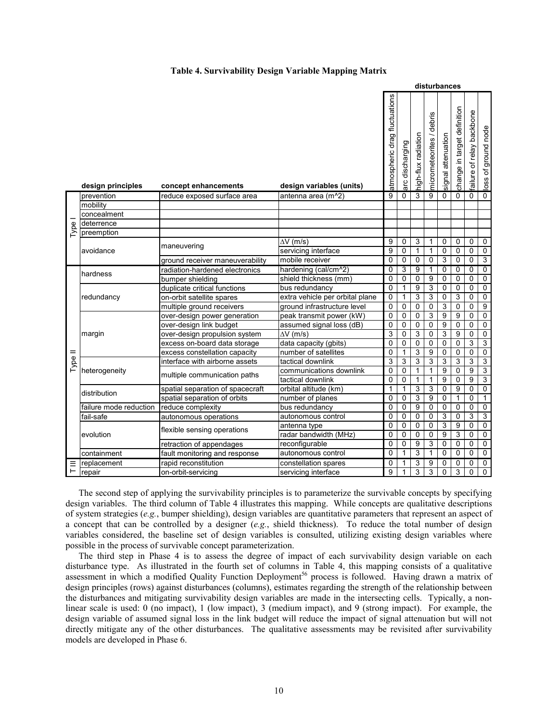# **Table 4. Survivability Design Variable Mapping Matrix**

|      |                        |                                  |                                 |                               |                 |                     | disturbances             |                    |                             |                          |                     |  |  |  |
|------|------------------------|----------------------------------|---------------------------------|-------------------------------|-----------------|---------------------|--------------------------|--------------------|-----------------------------|--------------------------|---------------------|--|--|--|
|      | design principles      | concept enhancements             | design variables (units)        | atmospheric drag fluctuations | arc discharging | nigh-flux radiation | micrometeorites / debris | signal attenuation | change in target definition | ailure of relay backbone | loss of ground node |  |  |  |
|      | prevention             | reduce exposed surface area      | antenna area (m^2)              | $\overline{9}$                | $\Omega$        | 3                   | $\overline{9}$           | 0                  | $\mathbf 0$                 | $\Omega$                 | $\overline{0}$      |  |  |  |
|      | mobility               |                                  |                                 |                               |                 |                     |                          |                    |                             |                          |                     |  |  |  |
|      | concealment            |                                  |                                 |                               |                 |                     |                          |                    |                             |                          |                     |  |  |  |
| Type | deterrence             |                                  |                                 |                               |                 |                     |                          |                    |                             |                          |                     |  |  |  |
|      | preemption             |                                  |                                 |                               |                 |                     |                          |                    |                             |                          |                     |  |  |  |
|      |                        | maneuvering                      | $\Delta V$ (m/s)                | 9                             | 0               | 3                   | 1                        | $\Omega$           | $\mathbf 0$                 | 0                        | $\mathbf 0$         |  |  |  |
|      | avoidance              |                                  | servicing interface             | $\overline{9}$                | $\mathbf 0$     | 1                   | 1                        | $\Omega$           | $\overline{0}$              | $\Omega$                 | $\overline{0}$      |  |  |  |
|      |                        | ground receiver maneuverability  | mobile receiver                 | $\overline{0}$                | 0               | $\Omega$            | 0                        | 3                  | $\overline{0}$              | 0                        | $\overline{3}$      |  |  |  |
|      | hardness               | radiation-hardened electronics   | hardening (cal/cm^2)            | $\mathbf 0$                   | 3               | 9                   | 1                        | $\mathbf 0$        | 0                           | 0                        | $\overline{0}$      |  |  |  |
|      |                        | bumper shielding                 | shield thickness (mm)           | 0                             | 0               | 0                   | 9                        | $\mathbf 0$        | $\mathbf 0$                 | $\mathbf 0$              | $\overline{0}$      |  |  |  |
|      |                        | duplicate critical functions     | bus redundancy                  | $\Omega$                      | $\mathbf{1}$    | 9                   | 3                        | $\Omega$           | $\overline{0}$              | $\mathbf 0$              | $\overline{0}$      |  |  |  |
|      | redundancy             | on-orbit satellite spares        | extra vehicle per orbital plane | $\overline{0}$                | $\mathbf{1}$    | 3                   | 3                        | $\overline{0}$     | $\overline{3}$              | 0                        | $\overline{0}$      |  |  |  |
|      |                        | multiple ground receivers        | ground infrastructure level     | $\overline{0}$                | 0               | $\Omega$            | 0                        | 3                  | $\mathbf 0$                 | 0                        | $\overline{9}$      |  |  |  |
|      |                        | over-design power generation     | peak transmit power (kW)        | $\overline{0}$                | $\mathbf 0$     | 0                   | 3                        | 9                  | $\overline{9}$              | $\overline{0}$           | $\overline{0}$      |  |  |  |
|      |                        | over-design link budget          | assumed signal loss (dB)        | $\mathbf 0$                   | 0               | $\mathbf 0$         | $\overline{0}$           | 9                  | $\overline{0}$              | 0                        | $\overline{0}$      |  |  |  |
|      | margin                 | over-design propulsion system    | $\Delta V$ (m/s)                | 3                             | 0               | 3                   | 0                        | 3                  | $\overline{9}$              | 0                        | $\overline{0}$      |  |  |  |
|      |                        | excess on-board data storage     | data capacity (gbits)           | $\overline{0}$                | 0               | $\mathbf 0$         | 0                        | $\mathbf 0$        | $\overline{0}$              | $\overline{3}$           | $\overline{3}$      |  |  |  |
| $=$  |                        | excess constellation capacity    | number of satellites            | $\overline{0}$                | $\mathbf{1}$    | 3                   | 9                        | 0                  | $\overline{0}$              | $\overline{0}$           | $\overline{0}$      |  |  |  |
| Type |                        | interface with airborne assets   | tactical downlink               | $\overline{3}$                | 3               | 3                   | 3                        | 3                  | $\overline{3}$              | $\overline{3}$           | $\overline{3}$      |  |  |  |
|      | heterogeneity          | multiple communication paths     | communications downlink         | 0                             | 0               | 1                   | $\mathbf{1}$             | 9                  | $\overline{0}$              | 9                        | $\overline{3}$      |  |  |  |
|      |                        |                                  | tactical downlink               | $\overline{0}$                | 0               | 1                   | $\mathbf{1}$             | 9                  | $\pmb{0}$                   | 9                        | $\overline{3}$      |  |  |  |
|      | distribution           | spatial separation of spacecraft | orbital altitude (km)           | 1                             | $\mathbf{1}$    | 3                   | 3                        | $\mathbf 0$        | $\overline{9}$              | $\overline{0}$           | $\overline{0}$      |  |  |  |
|      |                        | spatial separation of orbits     | number of planes                | $\overline{0}$                | 0               | 3                   | 9                        | $\overline{0}$     | $\mathbf{1}$                | $\overline{0}$           | $\overline{1}$      |  |  |  |
|      | failure mode reduction | reduce complexity                | bus redundancy                  | $\overline{0}$                | 0               | $\overline{9}$      | 0                        | $\mathbf 0$        | $\mathbf 0$                 | 0                        | $\overline{0}$      |  |  |  |
|      | fail-safe              | autonomous operations            | autonomous control              | $\overline{0}$                | $\overline{0}$  | $\overline{0}$      | $\overline{0}$           | 3                  | $\overline{0}$              | 3                        | 3                   |  |  |  |
|      |                        | flexible sensing operations      | antenna type                    | 0                             | 0               | $\mathbf 0$         | 0                        | $\overline{3}$     | $\overline{9}$              | 0                        | $\overline{0}$      |  |  |  |
|      | evolution              |                                  | radar bandwidth (MHz)           | $\mathbf 0$                   | 0               | $\pmb{0}$           | 0                        | 9                  | 3                           | 0                        | $\mathsf 0$         |  |  |  |
|      |                        | retraction of appendages         | reconfigurable                  | $\mathbf 0$                   | 0               | 9                   | 3                        | 0                  | $\mathbf 0$                 | 0                        | $\overline{0}$      |  |  |  |
|      | containment            | fault monitoring and response    | autonomous control              | $\mathbf 0$                   | 1               | 3                   | 1                        | 0                  | 0                           | 0                        | $\overline{0}$      |  |  |  |
| Ξ    | replacement            | rapid reconstitution             | constellation spares            | 0                             | 1               | 3                   | 9                        | $\mathbf 0$        | $\mathbf 0$                 | 0                        | 0                   |  |  |  |
| ⊢    | repair                 | on-orbit-servicing               | servicing interface             | 9                             | $\mathbf{1}$    | 3                   | 3                        | $\mathbf 0$        | $\mathbf{3}$                | 0                        | $\mathbf 0$         |  |  |  |

The second step of applying the survivability principles is to parameterize the survivable concepts by specifying design variables. The third column of Table 4 illustrates this mapping. While concepts are qualitative descriptions of system strategies (*e.g.*, bumper shielding), design variables are quantitative parameters that represent an aspect of a concept that can be controlled by a designer  $(e.g.,$  shield thickness). To reduce the total number of design variables considered, the baseline set of design variables is consulted, utilizing existing design variables where possible in the process of survivable concept parameterization.

The third step in Phase 4 is to assess the degree of impact of each survivability design variable on each disturbance type. As illustrated in the fourth set of columns in Table 4, this mapping consists of a qualitative assessment in which a modified Quality Function Deployment<sup>56</sup> process is followed. Having drawn a matrix of design principles (rows) against disturbances (columns), estimates regarding the strength of the relationship between the disturbances and mitigating survivability design variables are made in the intersecting cells. Typically, a nonlinear scale is used: 0 (no impact), 1 (low impact), 3 (medium impact), and 9 (strong impact). For example, the design variable of assumed signal loss in the link budget will reduce the impact of signal attenuation but will not directly mitigate any of the other disturbances. The qualitative assessments may be revisited after survivability models are developed in Phase 6.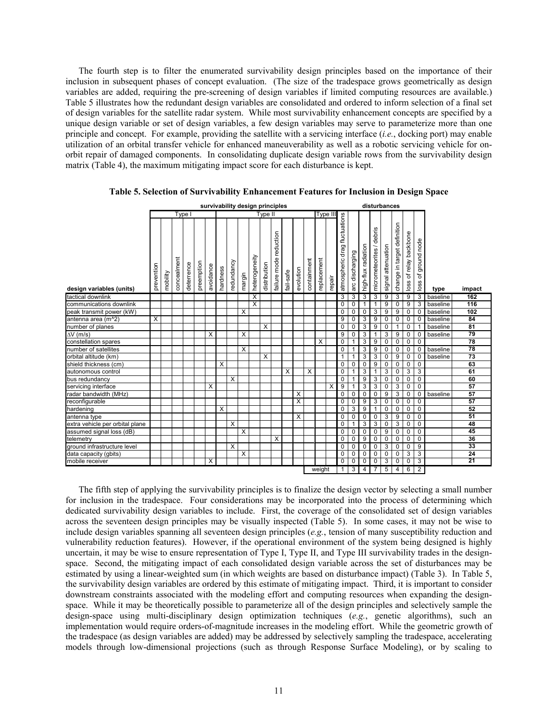The fourth step is to filter the enumerated survivability design principles based on the importance of their inclusion in subsequent phases of concept evaluation. (The size of the tradespace grows geometrically as design variables are added, requiring the pre-screening of design variables if limited computing resources are available.) Table 5 illustrates how the redundant design variables are consolidated and ordered to inform selection of a final set of design variables for the satellite radar system. While most survivability enhancement concepts are specified by a unique design variable or set of design variables, a few design variables may serve to parameterize more than one principle and concept. For example, providing the satellite with a servicing interface (*i.e.*, docking port) may enable utilization of an orbital transfer vehicle for enhanced maneuverability as well as a robotic servicing vehicle for onorbit repair of damaged components. In consolidating duplicate design variable rows from the survivability design matrix (Table 4), the maximum mitigating impact score for each disturbance is kept.

|                                 | survivability design principles |          |             |            |            |           |          |            |          |                |                         | disturbances              |           |           |             |             |        |                                  |                 |                     |                          |                    |                             |                           |                          |          |                 |
|---------------------------------|---------------------------------|----------|-------------|------------|------------|-----------|----------|------------|----------|----------------|-------------------------|---------------------------|-----------|-----------|-------------|-------------|--------|----------------------------------|-----------------|---------------------|--------------------------|--------------------|-----------------------------|---------------------------|--------------------------|----------|-----------------|
|                                 |                                 |          | Type I      |            |            |           |          |            |          |                | Type II                 |                           |           |           |             | Type III    |        |                                  |                 |                     |                          |                    |                             |                           |                          |          |                 |
| design variables (units)        | prevention                      | mobility | concealment | deterrence | preemption | avoidance | hardness | redundancy | margin   | heterogeneity  | distribution            | reduction<br>failure mode | fail-safe | evolution | containment | replacement | repair | fluctuations<br>atmospheric drag | arc discharging | high-flux radiation | micrometeorites / debris | signal attenuation | change in target definition | of relay backbone<br>loss | ground node<br>৳<br>loss | type     | impact          |
| tactical downlink               |                                 |          |             |            |            |           |          |            |          | X              |                         |                           |           |           |             |             |        | 3                                | 3               | 3                   | 3                        | 9                  | 3                           | 9                         | 3                        | baseline | 162             |
| communications downlink         |                                 |          |             |            |            |           |          |            |          | $\overline{X}$ |                         |                           |           |           |             |             |        | $\Omega$                         | $\mathbf 0$     | $\overline{1}$      | 1                        | 9                  | $\mathbf 0$                 | 9                         | 3                        | baseline | 116             |
| peak transmit power (kW)        |                                 |          |             |            |            |           |          |            | $\times$ |                |                         |                           |           |           |             |             |        | $\mathbf 0$                      | $\mathbf 0$     | $\mathbf 0$         | 3                        | 9                  | 9                           | 0                         | 0                        | baseline | 102             |
| antenna area (m^2)              | $\overline{\mathsf{x}}$         |          |             |            |            |           |          |            |          |                |                         |                           |           |           |             |             |        | 9                                | $\mathbf 0$     | 3                   | 9                        | 0                  | 0                           | 0                         | 0                        | baseline | 84              |
| number of planes                |                                 |          |             |            |            |           |          |            |          |                | $\overline{\mathsf{x}}$ |                           |           |           |             |             |        | $\Omega$                         | $\mathbf 0$     | 3                   | $\overline{9}$           | $\mathbf 0$        | $\mathbf{1}$                | 0                         | $\mathbf{1}$             | baseline | 81              |
| $\Delta V$ (m/s)                |                                 |          |             |            |            | X         |          |            | X        |                |                         |                           |           |           |             |             |        | 9                                | $\mathbf 0$     | 3                   | 1                        | 3                  | 9                           | $\mathbf 0$               | $\mathbf 0$              | baseline | 79              |
| constellation spares            |                                 |          |             |            |            |           |          |            |          |                |                         |                           |           |           |             | X           |        | 0                                | $\overline{1}$  | 3                   | 9                        | $\mathbf 0$        | $\mathsf 0$                 | $\pmb{0}$                 | $\mathbf 0$              |          | 78              |
| number of satellites            |                                 |          |             |            |            |           |          |            | $\times$ |                |                         |                           |           |           |             |             |        | $\mathbf 0$                      | $\overline{1}$  | 3                   | $\overline{9}$           | $\mathbf 0$        | $\mathbf 0$                 | $\mathbf 0$               | $\mathbf 0$              | baseline | 78              |
| orbital altitude (km)           |                                 |          |             |            |            |           |          |            |          |                | $\overline{\mathsf{x}}$ |                           |           |           |             |             |        | $\mathbf{1}$                     | $\overline{1}$  | 3                   | 3                        | $\mathbf 0$        | 9                           | 0                         | $\mathbf 0$              | baseline | 73              |
| shield thickness (cm)           |                                 |          |             |            |            |           | X        |            |          |                |                         |                           |           |           |             |             |        | $\mathbf 0$                      | $\mathbf 0$     | $\mathbf 0$         | 9                        | $\mathbf 0$        | $\mathbf 0$                 | 0                         | $\mathbf 0$              |          | 63              |
| autonomous control              |                                 |          |             |            |            |           |          |            |          |                |                         |                           | X         |           | X           |             |        | $\Omega$                         | $\overline{1}$  | 3                   | $\mathbf{1}$             | 3                  | $\mathbf 0$                 | 3                         | 3                        |          | 61              |
| bus redundancy                  |                                 |          |             |            |            |           |          | X          |          |                |                         |                           |           |           |             |             |        | $\Omega$                         | $\overline{1}$  | 9                   | 3                        | $\mathbf 0$        | $\mathbf 0$                 | 0                         | $\mathbf 0$              |          | 60              |
| servicing interface             |                                 |          |             |            |            | X         |          |            |          |                |                         |                           |           |           |             |             | X      | 9                                | $\mathbf{1}$    | 3                   | 3                        | 0                  | 3                           | 0                         | $\Omega$                 |          | $\overline{57}$ |
| radar bandwidth (MHz)           |                                 |          |             |            |            |           |          |            |          |                |                         |                           |           | X         |             |             |        | $\Omega$                         | $\mathbf 0$     | $\mathbf 0$         | $\mathbf 0$              | 9                  | 3                           | $\mathbf 0$               | $\Omega$                 | baseline | 57              |
| reconfigurable                  |                                 |          |             |            |            |           |          |            |          |                |                         |                           |           | X         |             |             |        | $\mathbf 0$                      | $\mathbf 0$     | 9                   | 3                        | $\mathbf 0$        | $\mathbf 0$                 | 0                         | $\mathbf 0$              |          | 57              |
| hardening                       |                                 |          |             |            |            |           | X        |            |          |                |                         |                           |           |           |             |             |        | $\mathbf 0$                      | 3               | 9                   | $\mathbf{1}$             | $\mathbf 0$        | $\mathbf 0$                 | 0                         | $\mathbf 0$              |          | 52              |
| antenna type                    |                                 |          |             |            |            |           |          |            |          |                |                         |                           |           | X         |             |             |        | $\mathbf 0$                      | $\mathbf 0$     | $\mathbf 0$         | $\mathbf 0$              | 3                  | 9                           | $\mathbf 0$               | $\mathbf 0$              |          | 51              |
| extra vehicle per orbital plane |                                 |          |             |            |            |           |          | X          |          |                |                         |                           |           |           |             |             |        | $\mathbf 0$                      | $\overline{1}$  | 3                   | 3                        | $\mathbf 0$        | 3                           | 0                         | 0                        |          | 48              |
| assumed signal loss (dB)        |                                 |          |             |            |            |           |          |            | X        |                |                         |                           |           |           |             |             |        | $\mathbf 0$                      | $\mathbf 0$     | 0                   | 0                        | 9                  | $\mathbf 0$                 | 0                         | 0                        |          | 45              |
| telemetry                       |                                 |          |             |            |            |           |          |            |          |                |                         | X                         |           |           |             |             |        | $\mathbf 0$                      | $\mathbf 0$     | 9                   | 0                        | $\Omega$           | $\mathbf 0$                 | $\mathbf 0$               | $\mathbf 0$              |          | 36              |
| ground infrastructure level     |                                 |          |             |            |            |           |          | X          |          |                |                         |                           |           |           |             |             |        | $\mathbf 0$                      | $\mathbf 0$     | $\mathbf 0$         | $\mathbf 0$              | 3                  | $\mathbf 0$                 | 0                         | 9                        |          | 33              |
| data capacity (gbits)           |                                 |          |             |            |            |           |          |            | X        |                |                         |                           |           |           |             |             |        | $\mathbf 0$                      | $\mathbf 0$     | 0                   | 0                        | 0                  | 0                           | 3                         | 3                        |          | 24              |
| mobile receiver                 |                                 |          |             |            |            | X         |          |            |          |                |                         |                           |           |           |             |             |        | $\Omega$                         | $\Omega$        | $\Omega$            | $\mathbf 0$              | 3                  | $\Omega$                    | 0                         | 3                        |          | 21              |
|                                 |                                 |          |             |            |            |           |          |            |          |                |                         |                           |           |           |             | weight      |        | 1                                | 3               | 4                   |                          | 5                  | 4                           | 6                         | 2                        |          |                 |

**Table 5. Selection of Survivability Enhancement Features for Inclusion in Design Space** 

The fifth step of applying the survivability principles is to finalize the design vector by selecting a small number for inclusion in the tradespace. Four considerations may be incorporated into the process of determining which dedicated survivability design variables to include. First, the coverage of the consolidated set of design variables across the seventeen design principles may be visually inspected (Table 5). In some cases, it may not be wise to include design variables spanning all seventeen design principles (*e.g.*, tension of many susceptibility reduction and vulnerability reduction features). However, if the operational environment of the system being designed is highly uncertain, it may be wise to ensure representation of Type I, Type II, and Type III survivability trades in the designspace. Second, the mitigating impact of each consolidated design variable across the set of disturbances may be estimated by using a linear-weighted sum (in which weights are based on disturbance impact) (Table 3). In Table 5, the survivability design variables are ordered by this estimate of mitigating impact. Third, it is important to consider downstream constraints associated with the modeling effort and computing resources when expanding the designspace. While it may be theoretically possible to parameterize all of the design principles and selectively sample the design-space using multi-disciplinary design optimization techniques (*e.g.*, genetic algorithms), such an implementation would require orders-of-magnitude increases in the modeling effort. While the geometric growth of the tradespace (as design variables are added) may be addressed by selectively sampling the tradespace, accelerating models through low-dimensional projections (such as through Response Surface Modeling), or by scaling to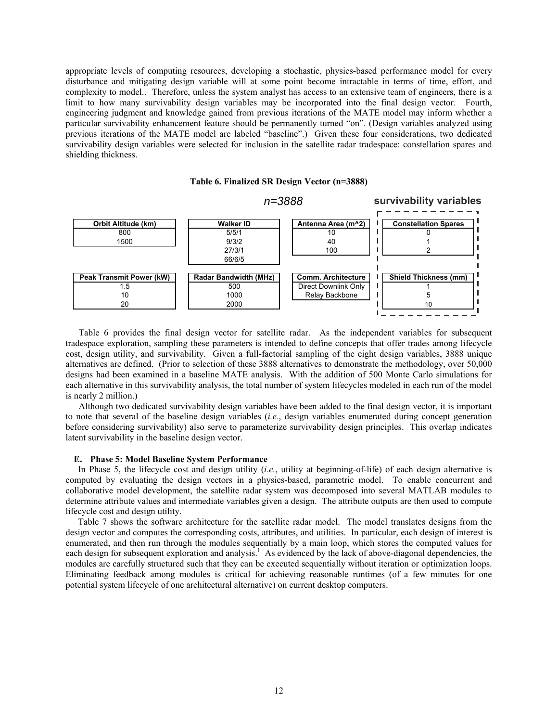appropriate levels of computing resources, developing a stochastic, physics-based performance model for every disturbance and mitigating design variable will at some point become intractable in terms of time, effort, and complexity to model.. Therefore, unless the system analyst has access to an extensive team of engineers, there is a limit to how many survivability design variables may be incorporated into the final design vector. Fourth, engineering judgment and knowledge gained from previous iterations of the MATE model may inform whether a particular survivability enhancement feature should be permanently turned "on". (Design variables analyzed using previous iterations of the MATE model are labeled "baseline".) Given these four considerations, two dedicated survivability design variables were selected for inclusion in the satellite radar tradespace: constellation spares and shielding thickness.



# **Table 6. Finalized SR Design Vector (n=3888)**

 Table 6 provides the final design vector for satellite radar. As the independent variables for subsequent tradespace exploration, sampling these parameters is intended to define concepts that offer trades among lifecycle cost, design utility, and survivability. Given a full-factorial sampling of the eight design variables, 3888 unique alternatives are defined. (Prior to selection of these 3888 alternatives to demonstrate the methodology, over 50,000 designs had been examined in a baseline MATE analysis. With the addition of 500 Monte Carlo simulations for each alternative in this survivability analysis, the total number of system lifecycles modeled in each run of the model is nearly 2 million.)

 Although two dedicated survivability design variables have been added to the final design vector, it is important to note that several of the baseline design variables (*i.e.*, design variables enumerated during concept generation before considering survivability) also serve to parameterize survivability design principles. This overlap indicates latent survivability in the baseline design vector.

#### **E. Phase 5: Model Baseline System Performance**

In Phase 5, the lifecycle cost and design utility (*i.e.*, utility at beginning-of-life) of each design alternative is computed by evaluating the design vectors in a physics-based, parametric model. To enable concurrent and collaborative model development, the satellite radar system was decomposed into several MATLAB modules to determine attribute values and intermediate variables given a design. The attribute outputs are then used to compute lifecycle cost and design utility.

Table 7 shows the software architecture for the satellite radar model. The model translates designs from the design vector and computes the corresponding costs, attributes, and utilities. In particular, each design of interest is enumerated, and then run through the modules sequentially by a main loop, which stores the computed values for each design for subsequent exploration and analysis.<sup>1</sup> As evidenced by the lack of above-diagonal dependencies, the modules are carefully structured such that they can be executed sequentially without iteration or optimization loops. Eliminating feedback among modules is critical for achieving reasonable runtimes (of a few minutes for one potential system lifecycle of one architectural alternative) on current desktop computers.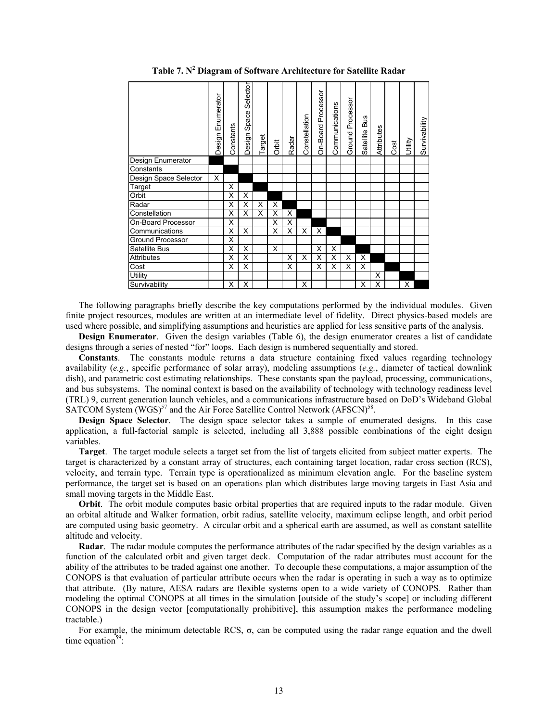|                         | Enumerator<br>Design I | Constants | Selector<br>Space<br>Design | arget | Orbit | Radar | Constellation | Processor<br>On-Board | Communications | Processor<br>Ground | <b>Bus</b><br>Satellite | Attributes | Cost | Utility | Survivability |
|-------------------------|------------------------|-----------|-----------------------------|-------|-------|-------|---------------|-----------------------|----------------|---------------------|-------------------------|------------|------|---------|---------------|
| Design Enumerator       |                        |           |                             |       |       |       |               |                       |                |                     |                         |            |      |         |               |
| Constants               |                        |           |                             |       |       |       |               |                       |                |                     |                         |            |      |         |               |
| Design Space Selector   | X                      |           |                             |       |       |       |               |                       |                |                     |                         |            |      |         |               |
| <b>Target</b>           |                        | X         |                             |       |       |       |               |                       |                |                     |                         |            |      |         |               |
| Orbit                   |                        | X         | x                           |       |       |       |               |                       |                |                     |                         |            |      |         |               |
| Radar                   |                        | X         | X                           | X     | X     |       |               |                       |                |                     |                         |            |      |         |               |
| Constellation           |                        | X         | x                           | X     | X     | X     |               |                       |                |                     |                         |            |      |         |               |
| On-Board Processor      |                        | X         |                             |       | X     | X     |               |                       |                |                     |                         |            |      |         |               |
| Communications          |                        | X         | X                           |       | x     | X     | X             | X                     |                |                     |                         |            |      |         |               |
| <b>Ground Processor</b> |                        | X         |                             |       |       |       |               |                       |                |                     |                         |            |      |         |               |
| Satellite Bus           |                        | X         | X                           |       | x     |       |               | X                     | X              |                     |                         |            |      |         |               |
| <b>Attributes</b>       |                        | X         | X                           |       |       | X     | X             | X                     | X              | X                   | X                       |            |      |         |               |
| Cost                    |                        | X         | X                           |       |       | X     |               | X                     | X              | X                   | X                       |            |      |         |               |
| Utility                 |                        |           |                             |       |       |       |               |                       |                |                     |                         | X          |      |         |               |
| Survivability           |                        | x         | x                           |       |       |       | X             |                       |                |                     | X                       | X          |      | X       |               |

**Table 7. N<sup>2</sup> Diagram of Software Architecture for Satellite Radar** 

The following paragraphs briefly describe the key computations performed by the individual modules. Given finite project resources, modules are written at an intermediate level of fidelity. Direct physics-based models are used where possible, and simplifying assumptions and heuristics are applied for less sensitive parts of the analysis.

**Design Enumerator**. Given the design variables (Table 6), the design enumerator creates a list of candidate designs through a series of nested "for" loops. Each design is numbered sequentially and stored.

**Constants**. The constants module returns a data structure containing fixed values regarding technology availability (*e.g.*, specific performance of solar array), modeling assumptions (*e.g.*, diameter of tactical downlink dish), and parametric cost estimating relationships. These constants span the payload, processing, communications, and bus subsystems. The nominal context is based on the availability of technology with technology readiness level (TRL) 9, current generation launch vehicles, and a communications infrastructure based on DoD's Wideband Global SATCOM System  $(WGS)^{57}$  and the Air Force Satellite Control Network (AFSCN)<sup>58</sup>.

**Design Space Selector**. The design space selector takes a sample of enumerated designs. In this case application, a full-factorial sample is selected, including all 3,888 possible combinations of the eight design variables.

**Target**. The target module selects a target set from the list of targets elicited from subject matter experts. The target is characterized by a constant array of structures, each containing target location, radar cross section (RCS), velocity, and terrain type. Terrain type is operationalized as minimum elevation angle. For the baseline system performance, the target set is based on an operations plan which distributes large moving targets in East Asia and small moving targets in the Middle East.

**Orbit**. The orbit module computes basic orbital properties that are required inputs to the radar module. Given an orbital altitude and Walker formation, orbit radius, satellite velocity, maximum eclipse length, and orbit period are computed using basic geometry. A circular orbit and a spherical earth are assumed, as well as constant satellite altitude and velocity.

**Radar**. The radar module computes the performance attributes of the radar specified by the design variables as a function of the calculated orbit and given target deck. Computation of the radar attributes must account for the ability of the attributes to be traded against one another. To decouple these computations, a major assumption of the CONOPS is that evaluation of particular attribute occurs when the radar is operating in such a way as to optimize that attribute. (By nature, AESA radars are flexible systems open to a wide variety of CONOPS. Rather than modeling the optimal CONOPS at all times in the simulation [outside of the study's scope] or including different CONOPS in the design vector [computationally prohibitive], this assumption makes the performance modeling tractable.)

For example, the minimum detectable RCS, σ, can be computed using the radar range equation and the dwell time equation $59$ :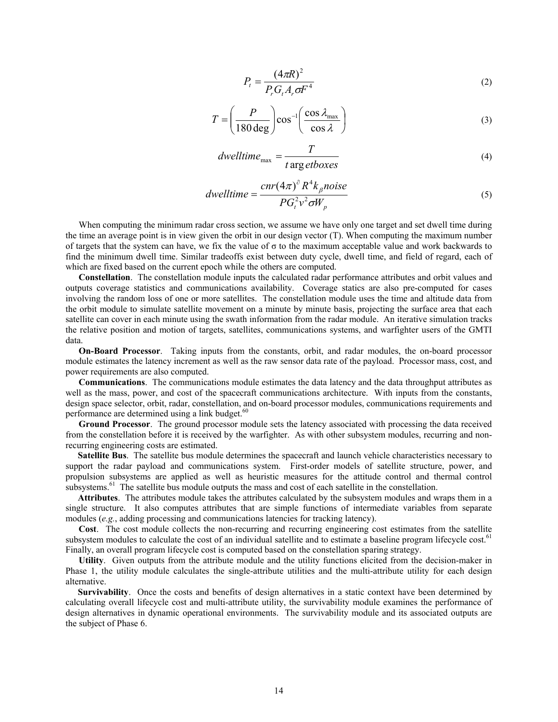$$
P_t = \frac{(4\pi R)^2}{P_r G_t A_r \sigma F^4}
$$
\n<sup>(2)</sup>

$$
T = \left(\frac{P}{180 \text{ deg}}\right) \cos^{-1} \left(\frac{\cos \lambda_{\text{max}}}{\cos \lambda}\right)
$$
 (3)

$$
dwell time_{\text{max}} = \frac{T}{t \arg et boxes}
$$
 (4)

$$
dwelltime = \frac{cnr(4\pi)^{\partial} R^{4}k_{\beta}noise}{PG_{t}^{2}v^{2}\sigma W_{p}}
$$
\n
$$
\tag{5}
$$

When computing the minimum radar cross section, we assume we have only one target and set dwell time during the time an average point is in view given the orbit in our design vector (T). When computing the maximum number of targets that the system can have, we fix the value of  $\sigma$  to the maximum acceptable value and work backwards to find the minimum dwell time. Similar tradeoffs exist between duty cycle, dwell time, and field of regard, each of which are fixed based on the current epoch while the others are computed.

**Constellation**. The constellation module inputs the calculated radar performance attributes and orbit values and outputs coverage statistics and communications availability. Coverage statics are also pre-computed for cases involving the random loss of one or more satellites. The constellation module uses the time and altitude data from the orbit module to simulate satellite movement on a minute by minute basis, projecting the surface area that each satellite can cover in each minute using the swath information from the radar module. An iterative simulation tracks the relative position and motion of targets, satellites, communications systems, and warfighter users of the GMTI data.

**On-Board Processor**. Taking inputs from the constants, orbit, and radar modules, the on-board processor module estimates the latency increment as well as the raw sensor data rate of the payload. Processor mass, cost, and power requirements are also computed.

**Communications**. The communications module estimates the data latency and the data throughput attributes as well as the mass, power, and cost of the spacecraft communications architecture. With inputs from the constants, design space selector, orbit, radar, constellation, and on-board processor modules, communications requirements and performance are determined using a link budget. $60$ 

**Ground Processor**. The ground processor module sets the latency associated with processing the data received from the constellation before it is received by the warfighter. As with other subsystem modules, recurring and nonrecurring engineering costs are estimated.

**Satellite Bus**. The satellite bus module determines the spacecraft and launch vehicle characteristics necessary to support the radar payload and communications system. First-order models of satellite structure, power, and propulsion subsystems are applied as well as heuristic measures for the attitude control and thermal control subsystems.<sup>61</sup> The satellite bus module outputs the mass and cost of each satellite in the constellation.

**Attributes**. The attributes module takes the attributes calculated by the subsystem modules and wraps them in a single structure. It also computes attributes that are simple functions of intermediate variables from separate modules (*e.g.*, adding processing and communications latencies for tracking latency).

**Cost**. The cost module collects the non-recurring and recurring engineering cost estimates from the satellite subsystem modules to calculate the cost of an individual satellite and to estimate a baseline program lifecycle cost.<sup>61</sup> Finally, an overall program lifecycle cost is computed based on the constellation sparing strategy.

**Utility**. Given outputs from the attribute module and the utility functions elicited from the decision-maker in Phase 1, the utility module calculates the single-attribute utilities and the multi-attribute utility for each design alternative.

**Survivability**. Once the costs and benefits of design alternatives in a static context have been determined by calculating overall lifecycle cost and multi-attribute utility, the survivability module examines the performance of design alternatives in dynamic operational environments. The survivability module and its associated outputs are the subject of Phase 6.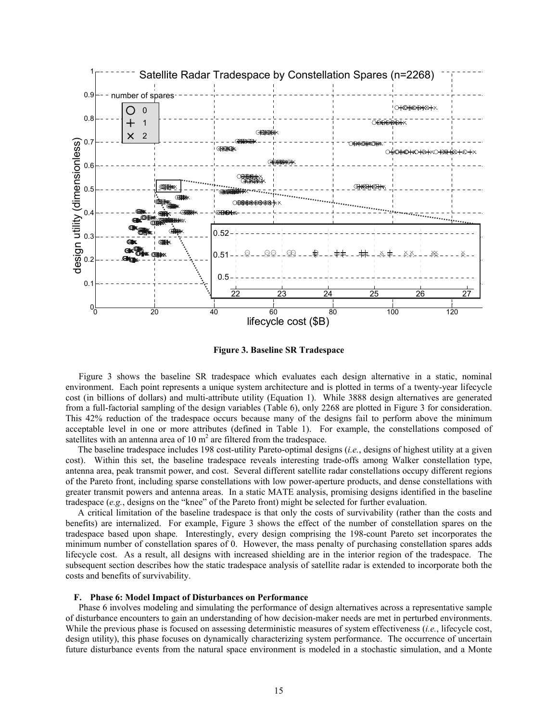

**Figure 3. Baseline SR Tradespace** 

Figure 3 shows the baseline SR tradespace which evaluates each design alternative in a static, nominal environment. Each point represents a unique system architecture and is plotted in terms of a twenty-year lifecycle cost (in billions of dollars) and multi-attribute utility (Equation 1). While 3888 design alternatives are generated from a full-factorial sampling of the design variables (Table 6), only 2268 are plotted in Figure 3 for consideration. This 42% reduction of the tradespace occurs because many of the designs fail to perform above the minimum acceptable level in one or more attributes (defined in Table 1). For example, the constellations composed of satellites with an antenna area of 10  $m<sup>2</sup>$  are filtered from the tradespace.

The baseline tradespace includes 198 cost-utility Pareto-optimal designs (*i.e.*, designs of highest utility at a given cost). Within this set, the baseline tradespace reveals interesting trade-offs among Walker constellation type, antenna area, peak transmit power, and cost. Several different satellite radar constellations occupy different regions of the Pareto front, including sparse constellations with low power-aperture products, and dense constellations with greater transmit powers and antenna areas. In a static MATE analysis, promising designs identified in the baseline tradespace (*e.g.*, designs on the "knee" of the Pareto front) might be selected for further evaluation.

A critical limitation of the baseline tradespace is that only the costs of survivability (rather than the costs and benefits) are internalized. For example, Figure 3 shows the effect of the number of constellation spares on the tradespace based upon shape. Interestingly, every design comprising the 198-count Pareto set incorporates the minimum number of constellation spares of 0. However, the mass penalty of purchasing constellation spares adds lifecycle cost. As a result, all designs with increased shielding are in the interior region of the tradespace. The subsequent section describes how the static tradespace analysis of satellite radar is extended to incorporate both the costs and benefits of survivability.

#### **F. Phase 6: Model Impact of Disturbances on Performance**

Phase 6 involves modeling and simulating the performance of design alternatives across a representative sample of disturbance encounters to gain an understanding of how decision-maker needs are met in perturbed environments. While the previous phase is focused on assessing deterministic measures of system effectiveness (*i.e.*, lifecycle cost, design utility), this phase focuses on dynamically characterizing system performance. The occurrence of uncertain future disturbance events from the natural space environment is modeled in a stochastic simulation, and a Monte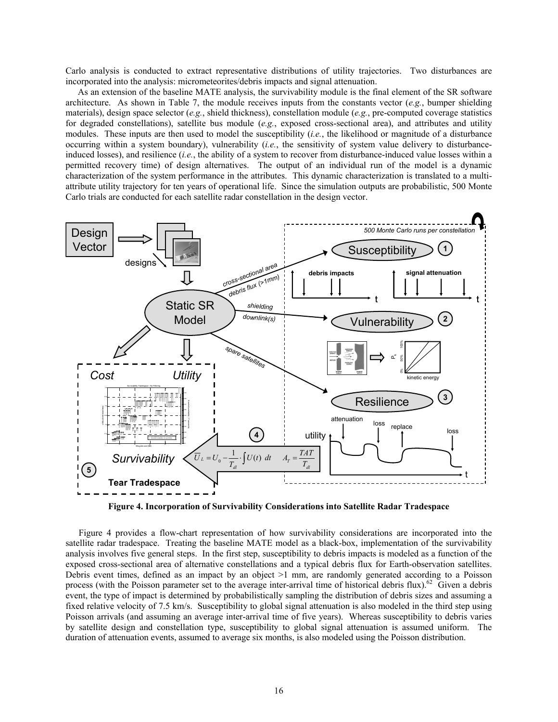Carlo analysis is conducted to extract representative distributions of utility trajectories. Two disturbances are incorporated into the analysis: micrometeorites/debris impacts and signal attenuation.

As an extension of the baseline MATE analysis, the survivability module is the final element of the SR software architecture. As shown in Table 7, the module receives inputs from the constants vector (*e.g.*, bumper shielding materials), design space selector (*e.g.*, shield thickness), constellation module (*e.g.*, pre-computed coverage statistics for degraded constellations), satellite bus module (*e.g.*, exposed cross-sectional area), and attributes and utility modules. These inputs are then used to model the susceptibility (*i.e.*, the likelihood or magnitude of a disturbance occurring within a system boundary), vulnerability (*i.e.*, the sensitivity of system value delivery to disturbanceinduced losses), and resilience (*i.e.*, the ability of a system to recover from disturbance-induced value losses within a permitted recovery time) of design alternatives. The output of an individual run of the model is a dynamic characterization of the system performance in the attributes. This dynamic characterization is translated to a multiattribute utility trajectory for ten years of operational life. Since the simulation outputs are probabilistic, 500 Monte Carlo trials are conducted for each satellite radar constellation in the design vector.



**Figure 4. Incorporation of Survivability Considerations into Satellite Radar Tradespace** 

Figure 4 provides a flow-chart representation of how survivability considerations are incorporated into the satellite radar tradespace. Treating the baseline MATE model as a black-box, implementation of the survivability analysis involves five general steps. In the first step, susceptibility to debris impacts is modeled as a function of the exposed cross-sectional area of alternative constellations and a typical debris flux for Earth-observation satellites. Debris event times, defined as an impact by an object >1 mm, are randomly generated according to a Poisson process (with the Poisson parameter set to the average inter-arrival time of historical debris flux).<sup>62</sup> Given a debris event, the type of impact is determined by probabilistically sampling the distribution of debris sizes and assuming a fixed relative velocity of 7.5 km/s. Susceptibility to global signal attenuation is also modeled in the third step using Poisson arrivals (and assuming an average inter-arrival time of five years). Whereas susceptibility to debris varies by satellite design and constellation type, susceptibility to global signal attenuation is assumed uniform. The duration of attenuation events, assumed to average six months, is also modeled using the Poisson distribution.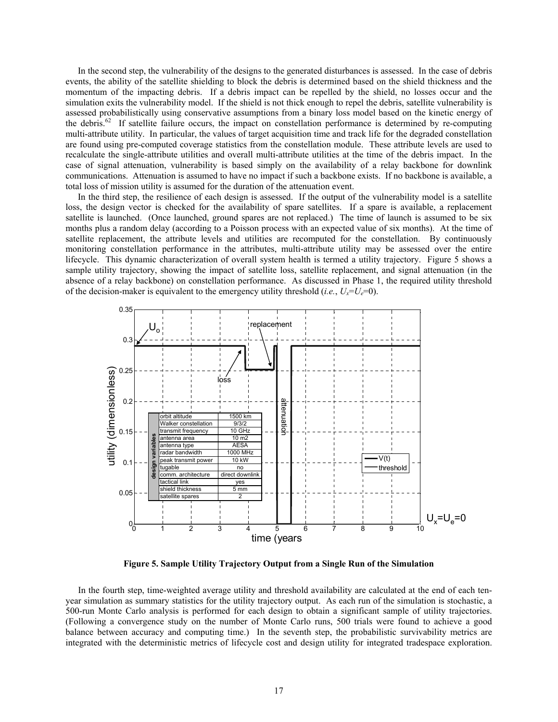In the second step, the vulnerability of the designs to the generated disturbances is assessed. In the case of debris events, the ability of the satellite shielding to block the debris is determined based on the shield thickness and the momentum of the impacting debris. If a debris impact can be repelled by the shield, no losses occur and the simulation exits the vulnerability model. If the shield is not thick enough to repel the debris, satellite vulnerability is assessed probabilistically using conservative assumptions from a binary loss model based on the kinetic energy of the debris.<sup>62</sup> If satellite failure occurs, the impact on constellation performance is determined by re-computing multi-attribute utility. In particular, the values of target acquisition time and track life for the degraded constellation are found using pre-computed coverage statistics from the constellation module. These attribute levels are used to recalculate the single-attribute utilities and overall multi-attribute utilities at the time of the debris impact. In the case of signal attenuation, vulnerability is based simply on the availability of a relay backbone for downlink communications. Attenuation is assumed to have no impact if such a backbone exists. If no backbone is available, a total loss of mission utility is assumed for the duration of the attenuation event.

In the third step, the resilience of each design is assessed. If the output of the vulnerability model is a satellite loss, the design vector is checked for the availability of spare satellites. If a spare is available, a replacement satellite is launched. (Once launched, ground spares are not replaced.) The time of launch is assumed to be six months plus a random delay (according to a Poisson process with an expected value of six months). At the time of satellite replacement, the attribute levels and utilities are recomputed for the constellation. By continuously monitoring constellation performance in the attributes, multi-attribute utility may be assessed over the entire lifecycle. This dynamic characterization of overall system health is termed a utility trajectory. Figure 5 shows a sample utility trajectory, showing the impact of satellite loss, satellite replacement, and signal attenuation (in the absence of a relay backbone) on constellation performance. As discussed in Phase 1, the required utility threshold of the decision-maker is equivalent to the emergency utility threshold (*i.e.*,  $U_x = U_e = 0$ ).



**Figure 5. Sample Utility Trajectory Output from a Single Run of the Simulation** 

In the fourth step, time-weighted average utility and threshold availability are calculated at the end of each tenyear simulation as summary statistics for the utility trajectory output. As each run of the simulation is stochastic, a 500-run Monte Carlo analysis is performed for each design to obtain a significant sample of utility trajectories. (Following a convergence study on the number of Monte Carlo runs, 500 trials were found to achieve a good balance between accuracy and computing time.)In the seventh step, the probabilistic survivability metrics are integrated with the deterministic metrics of lifecycle cost and design utility for integrated tradespace exploration.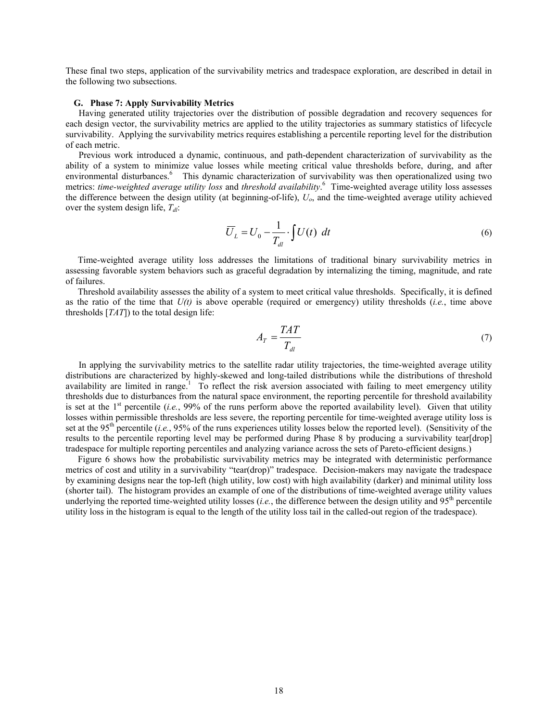These final two steps, application of the survivability metrics and tradespace exploration, are described in detail in the following two subsections.

### **G. Phase 7: Apply Survivability Metrics**

Having generated utility trajectories over the distribution of possible degradation and recovery sequences for each design vector, the survivability metrics are applied to the utility trajectories as summary statistics of lifecycle survivability. Applying the survivability metrics requires establishing a percentile reporting level for the distribution of each metric.

 Previous work introduced a dynamic, continuous, and path-dependent characterization of survivability as the ability of a system to minimize value losses while meeting critical value thresholds before, during, and after environmental disturbances.<sup>6</sup> This dynamic characterization of survivability was then operationalized using two metrics: *time-weighted average utility loss* and *threshold availability*. 6 Time-weighted average utility loss assesses the difference between the design utility (at beginning-of-life), *Uo*, and the time-weighted average utility achieved over the system design life,  $T_{di}$ :

$$
\overline{U}_L = U_0 - \frac{1}{T_{dl}} \cdot \int U(t) \ dt \tag{6}
$$

Time-weighted average utility loss addresses the limitations of traditional binary survivability metrics in assessing favorable system behaviors such as graceful degradation by internalizing the timing, magnitude, and rate of failures.

Threshold availability assesses the ability of a system to meet critical value thresholds. Specifically, it is defined as the ratio of the time that  $U(t)$  is above operable (required or emergency) utility thresholds (*i.e.*, time above thresholds [*TAT*]) to the total design life:

$$
A_T = \frac{TAT}{T_{dl}}\tag{7}
$$

 In applying the survivability metrics to the satellite radar utility trajectories, the time-weighted average utility distributions are characterized by highly-skewed and long-tailed distributions while the distributions of threshold availability are limited in range.<sup>1</sup> To reflect the risk aversion associated with failing to meet emergency utility thresholds due to disturbances from the natural space environment, the reporting percentile for threshold availability is set at the  $1<sup>st</sup>$  percentile (*i.e.*, 99% of the runs perform above the reported availability level). Given that utility losses within permissible thresholds are less severe, the reporting percentile for time-weighted average utility loss is set at the 95th percentile (*i.e.*, 95% of the runs experiences utility losses below the reported level). (Sensitivity of the results to the percentile reporting level may be performed during Phase 8 by producing a survivability tear[drop] tradespace for multiple reporting percentiles and analyzing variance across the sets of Pareto-efficient designs.)

Figure 6 shows how the probabilistic survivability metrics may be integrated with deterministic performance metrics of cost and utility in a survivability "tear(drop)" tradespace. Decision-makers may navigate the tradespace by examining designs near the top-left (high utility, low cost) with high availability (darker) and minimal utility loss (shorter tail). The histogram provides an example of one of the distributions of time-weighted average utility values underlying the reported time-weighted utility losses  $(i.e.,$  the difference between the design utility and  $95<sup>th</sup>$  percentile utility loss in the histogram is equal to the length of the utility loss tail in the called-out region of the tradespace).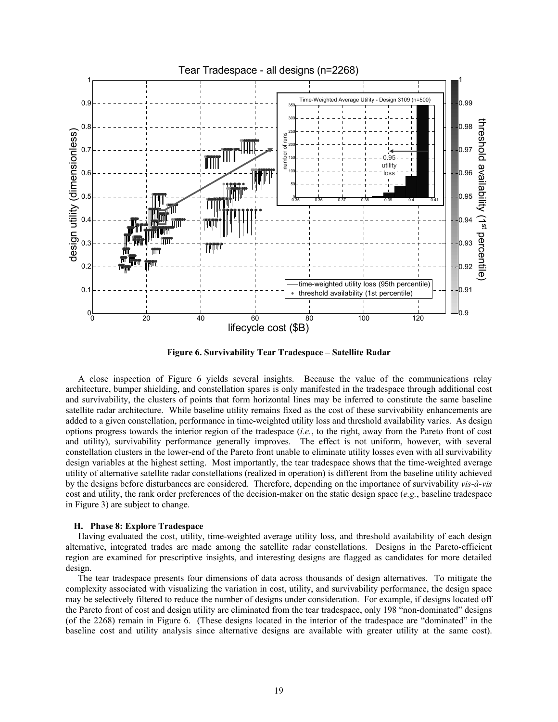

**Figure 6. Survivability Tear Tradespace – Satellite Radar** 

A close inspection of Figure 6 yields several insights. Because the value of the communications relay architecture, bumper shielding, and constellation spares is only manifested in the tradespace through additional cost and survivability, the clusters of points that form horizontal lines may be inferred to constitute the same baseline satellite radar architecture. While baseline utility remains fixed as the cost of these survivability enhancements are added to a given constellation, performance in time-weighted utility loss and threshold availability varies. As design options progress towards the interior region of the tradespace (*i.e.*, to the right, away from the Pareto front of cost and utility), survivability performance generally improves. The effect is not uniform, however, with several constellation clusters in the lower-end of the Pareto front unable to eliminate utility losses even with all survivability design variables at the highest setting. Most importantly, the tear tradespace shows that the time-weighted average utility of alternative satellite radar constellations (realized in operation) is different from the baseline utility achieved by the designs before disturbances are considered. Therefore, depending on the importance of survivability *vis-à-vis* cost and utility, the rank order preferences of the decision-maker on the static design space (*e.g.*, baseline tradespace in Figure 3) are subject to change.

# **H. Phase 8: Explore Tradespace**

Having evaluated the cost, utility, time-weighted average utility loss, and threshold availability of each design alternative, integrated trades are made among the satellite radar constellations. Designs in the Pareto-efficient region are examined for prescriptive insights, and interesting designs are flagged as candidates for more detailed design.

The tear tradespace presents four dimensions of data across thousands of design alternatives. To mitigate the complexity associated with visualizing the variation in cost, utility, and survivability performance, the design space may be selectively filtered to reduce the number of designs under consideration. For example, if designs located off the Pareto front of cost and design utility are eliminated from the tear tradespace, only 198 "non-dominated" designs (of the 2268) remain in Figure 6. (These designs located in the interior of the tradespace are "dominated" in the baseline cost and utility analysis since alternative designs are available with greater utility at the same cost).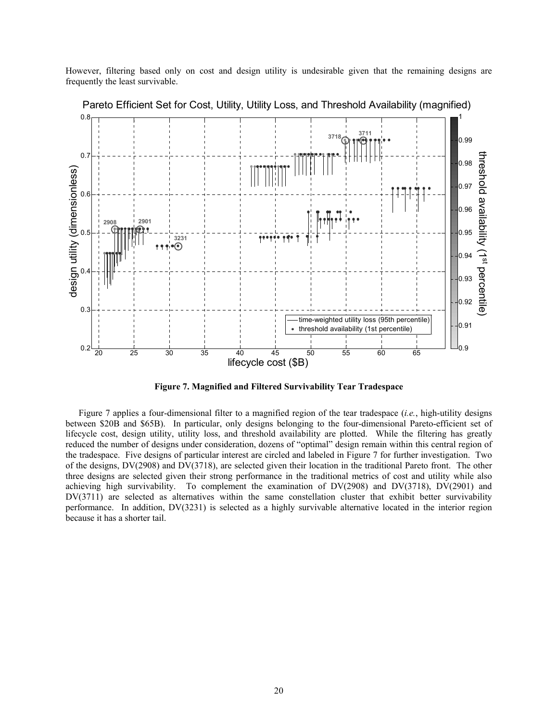However, filtering based only on cost and design utility is undesirable given that the remaining designs are frequently the least survivable.



Pareto Efficient Set for Cost, Utility, Utility Loss, and Threshold Availability (magnified)

**Figure 7. Magnified and Filtered Survivability Tear Tradespace** 

Figure 7 applies a four-dimensional filter to a magnified region of the tear tradespace (*i.e.*, high-utility designs between \$20B and \$65B). In particular, only designs belonging to the four-dimensional Pareto-efficient set of lifecycle cost, design utility, utility loss, and threshold availability are plotted. While the filtering has greatly reduced the number of designs under consideration, dozens of "optimal" design remain within this central region of the tradespace. Five designs of particular interest are circled and labeled in Figure 7 for further investigation. Two of the designs, DV(2908) and DV(3718), are selected given their location in the traditional Pareto front. The other three designs are selected given their strong performance in the traditional metrics of cost and utility while also achieving high survivability. To complement the examination of  $DV(2908)$  and  $DV(3718)$ ,  $DV(2901)$  and DV(3711) are selected as alternatives within the same constellation cluster that exhibit better survivability performance. In addition, DV(3231) is selected as a highly survivable alternative located in the interior region because it has a shorter tail.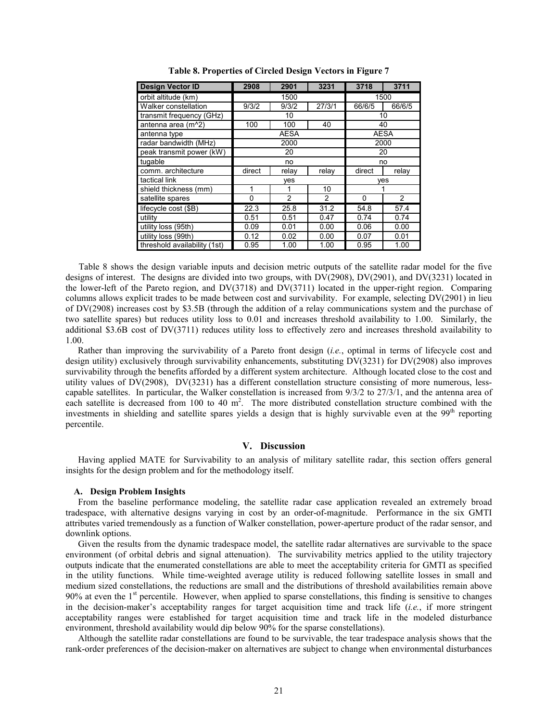| <b>Design Vector ID</b>         | 2908   | 2901           | 3231   | 3718   | 3711        |  |  |  |  |
|---------------------------------|--------|----------------|--------|--------|-------------|--|--|--|--|
| orbit altitude (km)             |        | 1500           |        |        | 1500        |  |  |  |  |
| Walker constellation            | 9/3/2  | 9/3/2          | 27/3/1 | 66/6/5 | 66/6/5      |  |  |  |  |
| transmit frequency (GHz)        |        | 10             |        | 10     |             |  |  |  |  |
| antenna area (m <sup>^2</sup> ) | 100    | 100            | 40     |        | 40          |  |  |  |  |
| antenna type                    |        | <b>AESA</b>    |        |        | <b>AESA</b> |  |  |  |  |
| radar bandwidth (MHz)           |        | 2000           |        |        | 2000        |  |  |  |  |
| peak transmit power (kW)        |        | 20             | 20     |        |             |  |  |  |  |
| tugable                         |        | no             | no     |        |             |  |  |  |  |
| comm. architecture              | direct | relay          | relay  | direct | relav       |  |  |  |  |
| tactical link                   |        | ves            |        |        | ves         |  |  |  |  |
| shield thickness (mm)           | 1      | 1              | 10     |        |             |  |  |  |  |
| satellite spares                | 0      | $\overline{2}$ | 2      | 0      | 2           |  |  |  |  |
| lifecycle cost (\$B)            | 22.3   | 25.8           | 31.2   | 54.8   | 57.4        |  |  |  |  |
| utility                         | 0.51   | 0.51           | 0.47   | 0.74   | 0.74        |  |  |  |  |
| utility loss (95th)             | 0.09   | 0.01           | 0.00   | 0.06   | 0.00        |  |  |  |  |
| utility loss (99th)             | 0.12   | 0.02           | 0.00   | 0.07   | 0.01        |  |  |  |  |
| threshold availability (1st)    | 0.95   | 1.00           | 1.00   | 0.95   | 1.00        |  |  |  |  |

**Table 8. Properties of Circled Design Vectors in Figure 7** 

Table 8 shows the design variable inputs and decision metric outputs of the satellite radar model for the five designs of interest. The designs are divided into two groups, with DV(2908), DV(2901), and DV(3231) located in the lower-left of the Pareto region, and DV(3718) and DV(3711) located in the upper-right region. Comparing columns allows explicit trades to be made between cost and survivability. For example, selecting DV(2901) in lieu of DV(2908) increases cost by \$3.5B (through the addition of a relay communications system and the purchase of two satellite spares) but reduces utility loss to 0.01 and increases threshold availability to 1.00. Similarly, the additional \$3.6B cost of DV(3711) reduces utility loss to effectively zero and increases threshold availability to 1.00.

Rather than improving the survivability of a Pareto front design (*i.e.*, optimal in terms of lifecycle cost and design utility) exclusively through survivability enhancements, substituting DV(3231) for DV(2908) also improves survivability through the benefits afforded by a different system architecture. Although located close to the cost and utility values of DV(2908), DV(3231) has a different constellation structure consisting of more numerous, lesscapable satellites. In particular, the Walker constellation is increased from 9/3/2 to 27/3/1, and the antenna area of each satellite is decreased from 100 to 40 m<sup>2</sup>. The more distributed constellation structure combined with the investments in shielding and satellite spares yields a design that is highly survivable even at the  $99<sup>th</sup>$  reporting percentile.

# **V. Discussion**

Having applied MATE for Survivability to an analysis of military satellite radar, this section offers general insights for the design problem and for the methodology itself.

# **A. Design Problem Insights**

From the baseline performance modeling, the satellite radar case application revealed an extremely broad tradespace, with alternative designs varying in cost by an order-of-magnitude. Performance in the six GMTI attributes varied tremendously as a function of Walker constellation, power-aperture product of the radar sensor, and downlink options.

Given the results from the dynamic tradespace model, the satellite radar alternatives are survivable to the space environment (of orbital debris and signal attenuation). The survivability metrics applied to the utility trajectory outputs indicate that the enumerated constellations are able to meet the acceptability criteria for GMTI as specified in the utility functions. While time-weighted average utility is reduced following satellite losses in small and medium sized constellations, the reductions are small and the distributions of threshold availabilities remain above 90% at even the 1<sup>st</sup> percentile. However, when applied to sparse constellations, this finding is sensitive to changes in the decision-maker's acceptability ranges for target acquisition time and track life (*i.e.*, if more stringent acceptability ranges were established for target acquisition time and track life in the modeled disturbance environment, threshold availability would dip below 90% for the sparse constellations).

Although the satellite radar constellations are found to be survivable, the tear tradespace analysis shows that the rank-order preferences of the decision-maker on alternatives are subject to change when environmental disturbances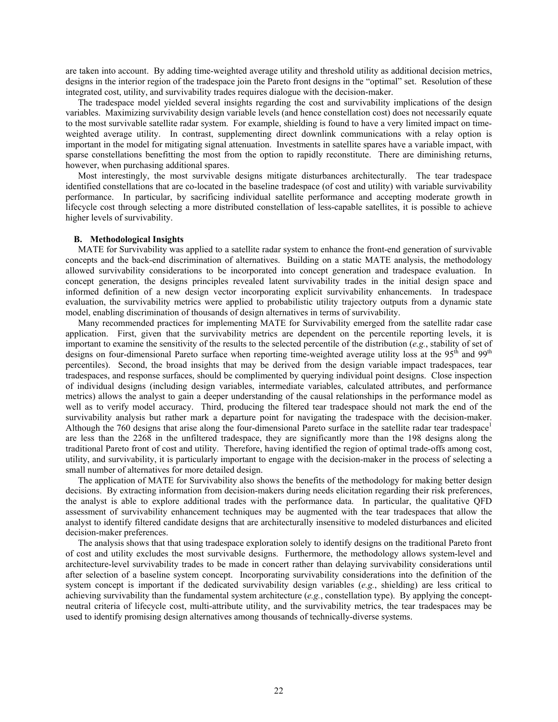are taken into account. By adding time-weighted average utility and threshold utility as additional decision metrics, designs in the interior region of the tradespace join the Pareto front designs in the "optimal" set. Resolution of these integrated cost, utility, and survivability trades requires dialogue with the decision-maker.

The tradespace model yielded several insights regarding the cost and survivability implications of the design variables. Maximizing survivability design variable levels (and hence constellation cost) does not necessarily equate to the most survivable satellite radar system. For example, shielding is found to have a very limited impact on timeweighted average utility. In contrast, supplementing direct downlink communications with a relay option is important in the model for mitigating signal attenuation. Investments in satellite spares have a variable impact, with sparse constellations benefitting the most from the option to rapidly reconstitute. There are diminishing returns, however, when purchasing additional spares.

Most interestingly, the most survivable designs mitigate disturbances architecturally. The tear tradespace identified constellations that are co-located in the baseline tradespace (of cost and utility) with variable survivability performance. In particular, by sacrificing individual satellite performance and accepting moderate growth in lifecycle cost through selecting a more distributed constellation of less-capable satellites, it is possible to achieve higher levels of survivability.

#### **B. Methodological Insights**

MATE for Survivability was applied to a satellite radar system to enhance the front-end generation of survivable concepts and the back-end discrimination of alternatives. Building on a static MATE analysis, the methodology allowed survivability considerations to be incorporated into concept generation and tradespace evaluation. In concept generation, the designs principles revealed latent survivability trades in the initial design space and informed definition of a new design vector incorporating explicit survivability enhancements. In tradespace evaluation, the survivability metrics were applied to probabilistic utility trajectory outputs from a dynamic state model, enabling discrimination of thousands of design alternatives in terms of survivability.

Many recommended practices for implementing MATE for Survivability emerged from the satellite radar case application. First, given that the survivability metrics are dependent on the percentile reporting levels, it is important to examine the sensitivity of the results to the selected percentile of the distribution (*e.g.*, stability of set of designs on four-dimensional Pareto surface when reporting time-weighted average utility loss at the  $95<sup>th</sup>$  and  $99<sup>th</sup>$ percentiles). Second, the broad insights that may be derived from the design variable impact tradespaces, tear tradespaces, and response surfaces, should be complimented by querying individual point designs. Close inspection of individual designs (including design variables, intermediate variables, calculated attributes, and performance metrics) allows the analyst to gain a deeper understanding of the causal relationships in the performance model as well as to verify model accuracy. Third, producing the filtered tear tradespace should not mark the end of the survivability analysis but rather mark a departure point for navigating the tradespace with the decision-maker. Although the 760 designs that arise along the four-dimensional Pareto surface in the satellite radar tear tradespace<sup>1</sup> are less than the 2268 in the unfiltered tradespace, they are significantly more than the 198 designs along the traditional Pareto front of cost and utility. Therefore, having identified the region of optimal trade-offs among cost, utility, and survivability, it is particularly important to engage with the decision-maker in the process of selecting a small number of alternatives for more detailed design.

The application of MATE for Survivability also shows the benefits of the methodology for making better design decisions. By extracting information from decision-makers during needs elicitation regarding their risk preferences, the analyst is able to explore additional trades with the performance data. In particular, the qualitative QFD assessment of survivability enhancement techniques may be augmented with the tear tradespaces that allow the analyst to identify filtered candidate designs that are architecturally insensitive to modeled disturbances and elicited decision-maker preferences.

The analysis shows that that using tradespace exploration solely to identify designs on the traditional Pareto front of cost and utility excludes the most survivable designs. Furthermore, the methodology allows system-level and architecture-level survivability trades to be made in concert rather than delaying survivability considerations until after selection of a baseline system concept. Incorporating survivability considerations into the definition of the system concept is important if the dedicated survivability design variables (*e.g.*, shielding) are less critical to achieving survivability than the fundamental system architecture (*e.g.*, constellation type). By applying the conceptneutral criteria of lifecycle cost, multi-attribute utility, and the survivability metrics, the tear tradespaces may be used to identify promising design alternatives among thousands of technically-diverse systems.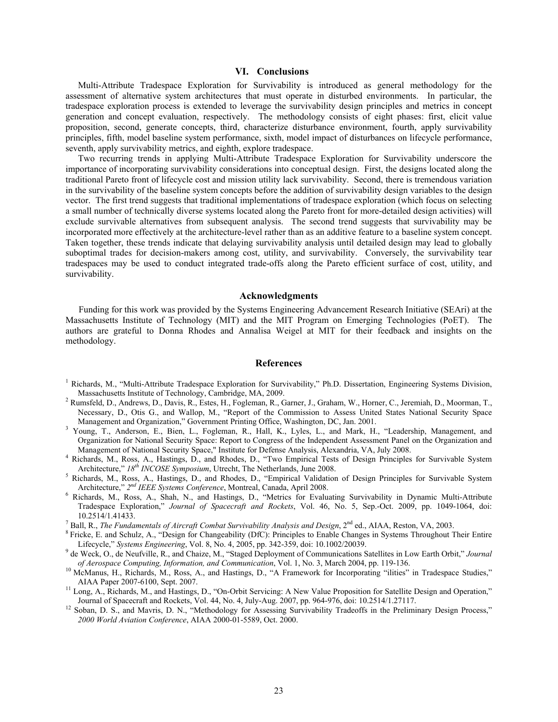# **VI. Conclusions**

Multi-Attribute Tradespace Exploration for Survivability is introduced as general methodology for the assessment of alternative system architectures that must operate in disturbed environments. In particular, the tradespace exploration process is extended to leverage the survivability design principles and metrics in concept generation and concept evaluation, respectively. The methodology consists of eight phases: first, elicit value proposition, second, generate concepts, third, characterize disturbance environment, fourth, apply survivability principles, fifth, model baseline system performance, sixth, model impact of disturbances on lifecycle performance, seventh, apply survivability metrics, and eighth, explore tradespace.

Two recurring trends in applying Multi-Attribute Tradespace Exploration for Survivability underscore the importance of incorporating survivability considerations into conceptual design. First, the designs located along the traditional Pareto front of lifecycle cost and mission utility lack survivability. Second, there is tremendous variation in the survivability of the baseline system concepts before the addition of survivability design variables to the design vector. The first trend suggests that traditional implementations of tradespace exploration (which focus on selecting a small number of technically diverse systems located along the Pareto front for more-detailed design activities) will exclude survivable alternatives from subsequent analysis. The second trend suggests that survivability may be incorporated more effectively at the architecture-level rather than as an additive feature to a baseline system concept. Taken together, these trends indicate that delaying survivability analysis until detailed design may lead to globally suboptimal trades for decision-makers among cost, utility, and survivability. Conversely, the survivability tear tradespaces may be used to conduct integrated trade-offs along the Pareto efficient surface of cost, utility, and survivability.

# **Acknowledgments**

Funding for this work was provided by the Systems Engineering Advancement Research Initiative (SEAri) at the Massachusetts Institute of Technology (MIT) and the MIT Program on Emerging Technologies (PoET). The authors are grateful to Donna Rhodes and Annalisa Weigel at MIT for their feedback and insights on the methodology.

### **References**

- <sup>1</sup> Richards, M., "Multi-Attribute Tradespace Exploration for Survivability," Ph.D. Dissertation, Engineering Systems Division, Massachusetts Institute of Technology, Cambridge, MA, 2009. 2
- <sup>2</sup> Rumsfeld, D., Andrews, D., Davis, R., Estes, H., Fogleman, R., Garner, J., Graham, W., Horner, C., Jeremiah, D., Moorman, T., Necessary, D., Otis G., and Wallop, M., "Report of the Commission to Assess United States National Security Space Management and Organization," Government Printing Office, Washington, DC, Jan. 2001.
- <sup>3</sup> Young, T., Anderson, E., Bien, L., Fogleman, R., Hall, K., Lyles, L., and Mark, H., "Leadership, Management, and Organization for National Security Space: Report to Congress of the Independent Assessment Panel on the Organization and Management of National Security Space," Institute for Defense Analysis, Alexandria, VA, July 2008. 4
- <sup>4</sup> Richards, M., Ross, A., Hastings, D., and Rhodes, D., "Two Empirical Tests of Design Principles for Survivable System Architecture," 18<sup>th</sup> INCOSE Symposium, Utrecht, The Netherlands, June 2008.
- <sup>5</sup> Richards, M., Ross, A., Hastings, D., and Rhodes, D., "Empirical Validation of Design Principles for Survivable System Architecture," *2nd IEEE Systems Conference*, Montreal, Canada, April 2008. 6
- <sup>6</sup> Richards, M., Ross, A., Shah, N., and Hastings, D., "Metrics for Evaluating Survivability in Dynamic Multi-Attribute Tradespace Exploration," *Journal of Spacecraft and Rockets*, Vol. 46, No. 5, Sep.-Oct. 2009, pp. 1049-1064, doi: 10.2514/1.41433.<br><sup>7</sup> Ball, R., *The Fundamentals of Aircraft Combat Survivability Analysis and Design*, 2<sup>nd</sup> ed., AIAA, Reston, VA, 2003.
- 
- <sup>8</sup> Fricke, E. and Schulz, A., "Design for Changeability (DfC): Principles to Enable Changes in Systems Throughout Their Entire Lifecycle," *Systems Engineering*, Vol. 8, No. 4, 2005, pp. 342-359, doi: 10.1002/20039.
- <sup>9</sup> de Weck, O., de Neufville, R., and Chaize, M., "Staged Deployment of Communications Satellites in Low Earth Orbit," *Journal* of Aerospace Computing, Information, and Communication, Vol. 1, No. 3, March 2004, pp. 119-136.<br><sup>10</sup> McManus, H., Richards, M., Ross, A., and Hastings, D., "A Framework for Incorporating "ilities" in Tradespace Studies,"
- 
- AIAA Paper 2007-6100, Sept. 2007.<br><sup>11</sup> Long, A., Richards, M., and Hastings, D., "On-Orbit Servicing: A New Value Proposition for Satellite Design and Operation,"<br>Journal of Spacecraft and Rockets, Vol. 44, No. 4, July-Aug
- <sup>12</sup> Soban, D. S., and Mavris, D. N., "Methodology for Assessing Survivability Tradeoffs in the Preliminary Design Process," *2000 World Aviation Conference*, AIAA 2000-01-5589, Oct. 2000.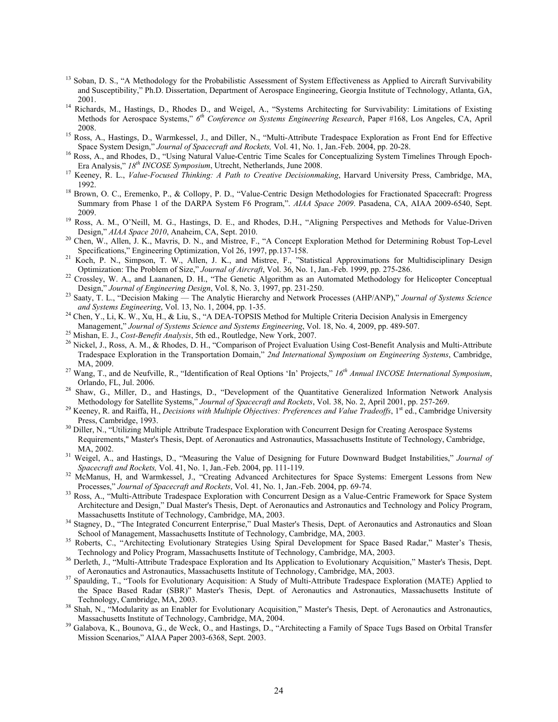- <sup>13</sup> Soban, D. S., "A Methodology for the Probabilistic Assessment of System Effectiveness as Applied to Aircraft Survivability and Susceptibility," Ph.D. Dissertation, Department of Aerospace Engineering, Georgia Institute of Technology, Atlanta, GA,
- 2001. 14 Richards, M., Hastings, D., Rhodes D., and Weigel, A., "Systems Architecting for Survivability: Limitations of Existing Methods for Aerospace Systems," *6th Conference on Systems Engineering Research*, Paper #168, Los Angeles, CA, April
- 2008.<br><sup>15</sup> Ross, A., Hastings, D., Warmkessel, J., and Diller, N., "Multi-Attribute Tradespace Exploration as Front End for Effective
- Space System Design," Journal of Spacecraft and Rockets, Vol. 41, No. 1, Jan.-Feb. 2004, pp. 20-28.<br><sup>16</sup> Ross, A., and Rhodes, D., "Using Natural Value-Centric Time Scales for Conceptualizing System Timelines Through Epoch Era Analysis," *18<sup>th</sup> INCOSE Symposium*, Utrecht, Netherlands, June 2008.<br><sup>17</sup> Keeney, R. L., *Value-Focused Thinking: A Path to Creative Decisionmaking*, Harvard University Press, Cambridge, MA,
- 
- 1992. 18 Brown, O. C., Eremenko, P., & Collopy, P. D., "Value-Centric Design Methodologies for Fractionated Spacecraft: Progress Summary from Phase 1 of the DARPA System F6 Program,". *AIAA Space 2009*. Pasadena, CA, AIAA 2009-6540, Sept.
- 2009.<br><sup>19</sup> Ross, A. M., O'Neill, M. G., Hastings, D. E., and Rhodes, D.H., "Aligning Perspectives and Methods for Value-Driven<br>Design," AIAA Space 2010, Anaheim, CA, Sept. 2010.
- <sup>20</sup> Chen, W., Allen, J. K., Mavris, D. N., and Mistree, F., "A Concept Exploration Method for Determining Robust Top-Level<br>Specifications," Engineering Optimization, Vol 26, 1997, pp.137-158.
- <sup>21</sup> Koch, P. N., Simpson, T. W., Allen, J. K., and Mistree, F., "Statistical Approximations for Multidisciplinary Design Optimization: The Problem of Size," Journal of Aircraft, Vol. 36, No. 1, Jan.-Feb. 1999, pp. 275-286
- $^{22}$  Crossley, W. A., and Laananen, D. H., "The Genetic Algorithm as an Automated Methodology for Helicopter Conceptual
- Design," *Journal of Engineering Design*, Vol. 8, No. 3, 1997, pp. 231-250. 23 Saaty, T. L., "Decision Making The Analytic Hierarchy and Network Processes (AHP/ANP)," *Journal of Systems Science*
- <sup>24</sup> Chen, Y., Li, K. W., Xu, H., & Liu, S., "A DEA-TOPSIS Method for Multiple Criteria Decision Analysis in Emergency Management," *Journal of Systems Science and Systems Engineering*, Vol. 18, No. 4, 2009, pp. 489-507.
- 
- 
- <sup>25</sup> Mishan, E. J., *Cost-Benefit Analysis*, 5th ed., Routledge, New York, 2007.<br><sup>26</sup> Nickel, J., Ross, A. M., & Rhodes, D. H., "Comparison of Project Evaluation Using Cost-Benefit Analysis and Multi-Attribute Tradespace Exploration in the Transportation Domain," *2nd International Symposium on Engineering Systems*, Cambridge, MA, 2009. 27 Wang, T., and de Neufville, R., "Identification of Real Options 'In' Projects," *16th Annual INCOSE International Symposium*,
- Orlando, FL, Jul. 2006. 28 Shaw, G., Miller, D., and Hastings, D., "Development of the Quantitative Generalized Information Network Analysis
- Methodology for Satellite Systems," Journal of Spacecraft and Rockets, Vol. 38, No. 2, April 2001, pp. 257-269.<br><sup>29</sup> Keeney, R. and Raiffa, H., *Decisions with Multiple Objectives: Preferences and Value Tradeoffs*, 1<sup>st</sup> e
- Press, Cambridge, 1993.<br><sup>30</sup> Diller, N., "Utilizing Multiple Attribute Tradespace Exploration with Concurrent Design for Creating Aerospace Systems
- Requirements," Master's Thesis, Dept. of Aeronautics and Astronautics, Massachusetts Institute of Technology, Cambridge,
- MA, 2002.<br><sup>31</sup> Weigel, A., and Hastings, D., "Measuring the Value of Designing for Future Downward Budget Instabilities," *Journal of Spacecraft and Rockets*, Vol. 41, No. 1, Jan.-Feb. 2004, pp. 111-119.
- <sup>32</sup> McManus, H, and Warmkessel, J., "Creating Advanced Architectures for Space Systems: Emergent Lessons from New<br>Processes," Journal of Spacecraft and Rockets, Vol. 41, No. 1, Jan.-Feb. 2004, pp. 69-74.
- <sup>33</sup> Ross, A., "Multi-Attribute Tradespace Exploration with Concurrent Design as a Value-Centric Framework for Space System Architecture and Design," Dual Master's Thesis, Dept. of Aeronautics and Astronautics and Technology and Policy Program, Massachusetts Institute of Technology, Cambridge, MA, 2003.<br><sup>34</sup> Stagney, D., "The Integrated Concurrent Enterprise," Dual Master's Thesis, Dept. of Aeronautics and Astronautics and Sloan
- 
- School of Management, Massachusetts Institute of Technology, Cambridge, MA, 2003.<br><sup>35</sup> Roberts, C., "Architecting Evolutionary Strategies Using Spiral Development for Space Based Radar," Master's Thesis, Technology and Pol
- <sup>36</sup> Derleth, J., "Multi-Attribute Tradespace Exploration and Its Application to Evolutionary Acquisition," Master's Thesis, Dept. of Aeronautics and Astronautics, Massachusetts Institute of Technology, Cambridge, MA, 2003
- <sup>37</sup> Spaulding, T., "Tools for Evolutionary Acquisition: A Study of Multi-Attribute Tradespace Exploration (MATE) Applied to the Space Based Radar (SBR)" Master's Thesis, Dept. of Aeronautics and Astronautics, Massachusetts Institute of Technology, Cambridge, MA, 2003.<br><sup>38</sup> Shah, N., "Modularity as an Enabler for Evolutionary Acquisition," Master's Thesis, Dept. of Aeronautics and Astronautics,
- Massachusetts Institute of Technology, Cambridge, MA, 2004.<br><sup>39</sup> Galabova, K., Bounova, G., de Weck, O., and Hastings, D., "Architecting a Family of Space Tugs Based on Orbital Transfer
- Mission Scenarios," AIAA Paper 2003-6368, Sept. 2003.